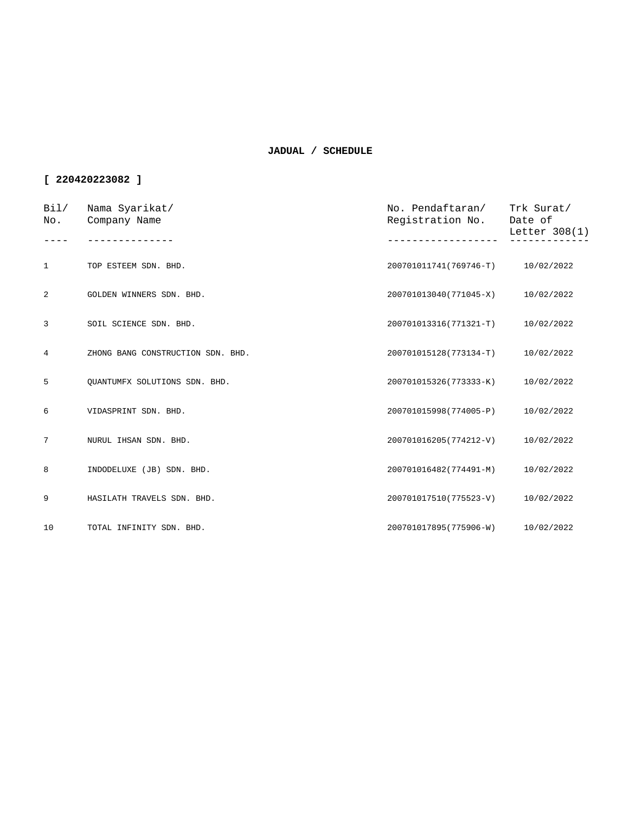| Bil/<br>No.  | Nama Syarikat/<br>Company Name    | No. Pendaftaran/<br>Registration No. | Trk Surat/<br>Date of<br>Letter $308(1)$ |
|--------------|-----------------------------------|--------------------------------------|------------------------------------------|
|              |                                   |                                      |                                          |
| $\mathbf{1}$ | TOP ESTEEM SDN. BHD.              | 200701011741(769746-T)               | 10/02/2022                               |
| 2            | GOLDEN WINNERS SDN. BHD.          | 200701013040(771045-X)               | 10/02/2022                               |
| 3            | SOIL SCIENCE SDN. BHD.            | 200701013316(771321-T)               | 10/02/2022                               |
| 4            | ZHONG BANG CONSTRUCTION SDN. BHD. | 200701015128(773134-T)               | 10/02/2022                               |
| 5            | OUANTUMFX SOLUTIONS SDN. BHD.     | 200701015326(773333-K)               | 10/02/2022                               |
| 6            | VIDASPRINT SDN. BHD.              | 200701015998(774005-P)               | 10/02/2022                               |
| 7            | NURUL IHSAN SDN. BHD.             | 200701016205(774212-V)               | 10/02/2022                               |
| 8            | INDODELUXE (JB) SDN. BHD.         | 200701016482(774491-M)               | 10/02/2022                               |
| 9            | HASILATH TRAVELS SDN. BHD.        | 200701017510(775523-V)               | 10/02/2022                               |
| 10           | TOTAL INFINITY SDN. BHD.          | 200701017895(775906-W)               | 10/02/2022                               |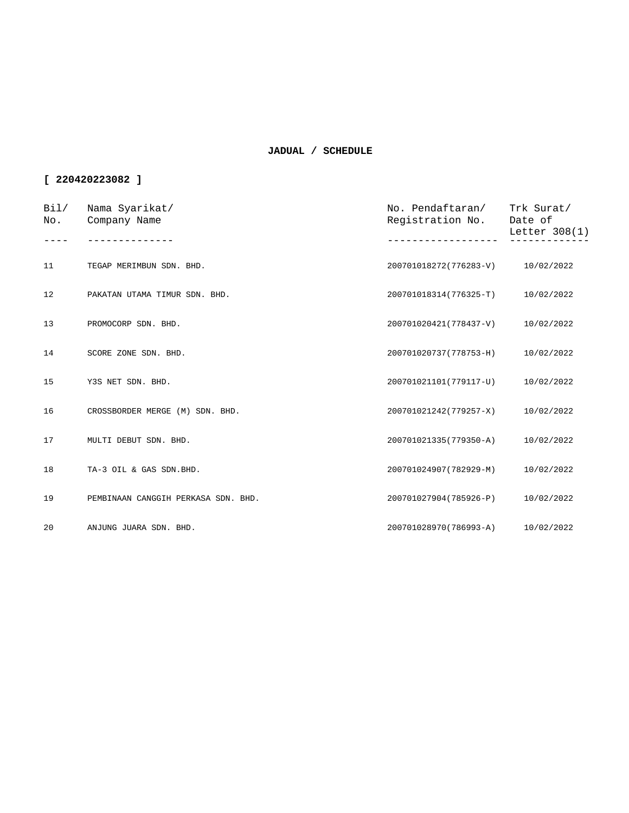| Bi1/<br>No. | Nama Syarikat/<br>Company Name      | No. Pendaftaran/<br>Registration No. | Trk Surat/<br>Date of<br>Letter 308(1) |
|-------------|-------------------------------------|--------------------------------------|----------------------------------------|
|             |                                     |                                      |                                        |
| 11          | TEGAP MERIMBUN SDN. BHD.            | 200701018272(776283-V)               | 10/02/2022                             |
| 12          | PAKATAN UTAMA TIMUR SDN. BHD.       | 200701018314(776325-T)               | 10/02/2022                             |
| 13          | PROMOCORP SDN. BHD.                 | 200701020421(778437-V)               | 10/02/2022                             |
| 14          | SCORE ZONE SDN. BHD.                | 200701020737(778753-H)               | 10/02/2022                             |
| 15          | Y3S NET SDN. BHD.                   | 200701021101(779117-U)               | 10/02/2022                             |
| 16          | CROSSBORDER MERGE (M) SDN. BHD.     | 200701021242(779257-X)               | 10/02/2022                             |
| 17          | MULTI DEBUT SDN. BHD.               | 200701021335(779350-A)               | 10/02/2022                             |
| 18          | TA-3 OIL & GAS SDN.BHD.             | 200701024907(782929-M)               | 10/02/2022                             |
| 19          | PEMBINAAN CANGGIH PERKASA SDN. BHD. | 200701027904(785926-P)               | 10/02/2022                             |
| 20          | ANJUNG JUARA SDN. BHD.              | 200701028970(786993-A)               | 10/02/2022                             |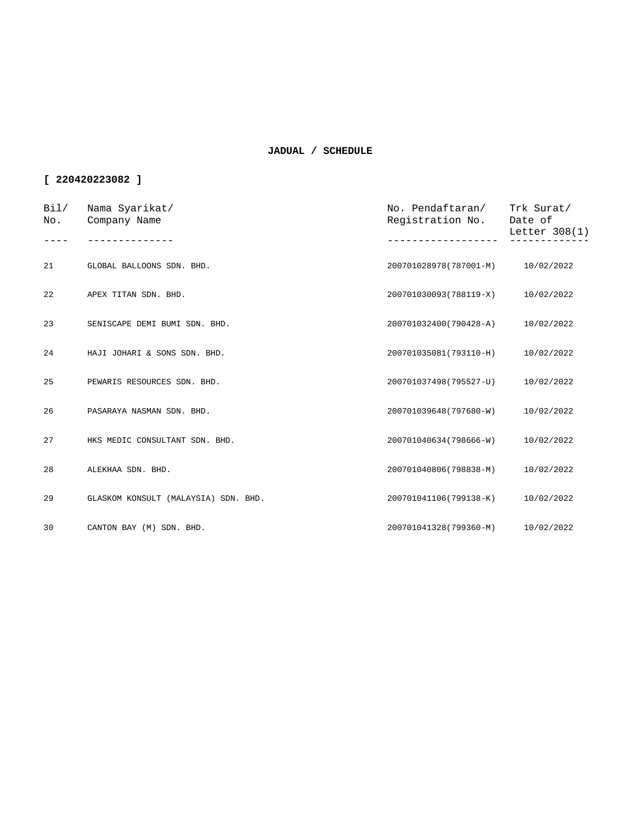| Bi1/<br>No. | Nama Syarikat/<br>Company Name       | No. Pendaftaran/<br>Registration No. | Trk Surat/<br>Date of<br>Letter $308(1)$ |
|-------------|--------------------------------------|--------------------------------------|------------------------------------------|
|             |                                      |                                      |                                          |
| 21          | GLOBAL BALLOONS SDN. BHD.            | 200701028978(787001-M)               | 10/02/2022                               |
| 22          | APEX TITAN SDN. BHD.                 | 200701030093(788119-X)               | 10/02/2022                               |
| 23          | SENISCAPE DEMI BUMI SDN. BHD.        | 200701032400(790428-A)               | 10/02/2022                               |
| 24          | HAJI JOHARI & SONS SDN. BHD.         | 200701035081(793110-H)               | 10/02/2022                               |
| 25          | PEWARIS RESOURCES SDN. BHD.          | 200701037498(795527-U)               | 10/02/2022                               |
| 26          | PASARAYA NASMAN SDN. BHD.            | 200701039648(797680-W)               | 10/02/2022                               |
| 27          | HKS MEDIC CONSULTANT SDN. BHD.       | 200701040634(798666-W)               | 10/02/2022                               |
| 28          | ALEKHAA SDN. BHD.                    | 200701040806(798838-M)               | 10/02/2022                               |
| 29          | GLASKOM KONSULT (MALAYSIA) SDN. BHD. | 200701041106(799138-K)               | 10/02/2022                               |
| 30          | CANTON BAY (M) SDN. BHD.             | 200701041328(799360-M) 10/02/2022    |                                          |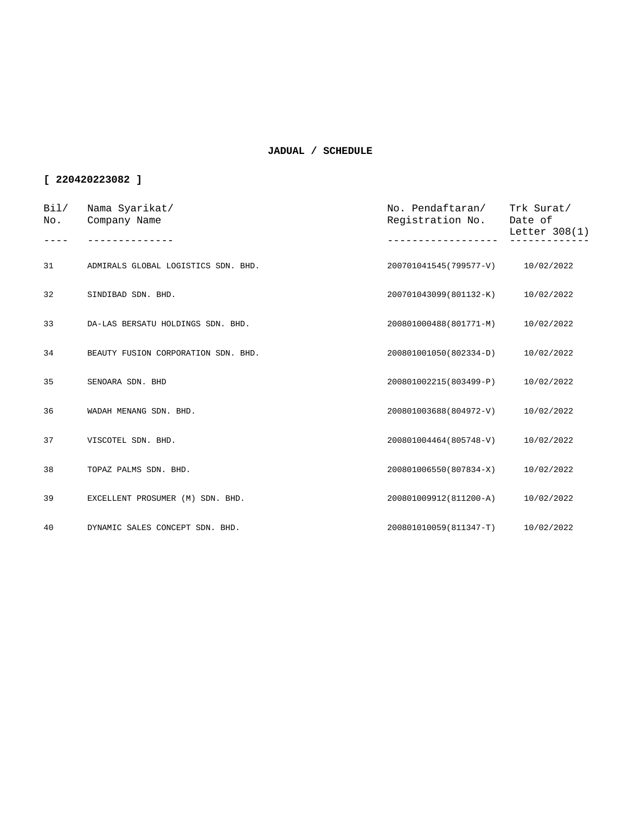| Bil/<br>No. | Nama Syarikat/<br>Company Name      | No. Pendaftaran/<br>Registration No. | Trk Surat/<br>Date of<br>Letter 308(1) |
|-------------|-------------------------------------|--------------------------------------|----------------------------------------|
|             |                                     |                                      |                                        |
| 31          | ADMIRALS GLOBAL LOGISTICS SDN. BHD. | 200701041545(799577-V)               | 10/02/2022                             |
| 32          | SINDIBAD SDN. BHD.                  | 200701043099(801132-K)               | 10/02/2022                             |
| 33          | DA-LAS BERSATU HOLDINGS SDN. BHD.   | 200801000488(801771-M)               | 10/02/2022                             |
| 34          | BEAUTY FUSION CORPORATION SDN. BHD. | 200801001050(802334-D)               | 10/02/2022                             |
| 35          | SENOARA SDN. BHD                    | 200801002215(803499-P)               | 10/02/2022                             |
| 36          | WADAH MENANG SDN. BHD.              | 200801003688(804972-V)               | 10/02/2022                             |
| 37          | VISCOTEL SDN. BHD.                  | 200801004464(805748-V)               | 10/02/2022                             |
| 38          | TOPAZ PALMS SDN. BHD.               | 200801006550(807834-X)               | 10/02/2022                             |
| 39          | EXCELLENT PROSUMER (M) SDN. BHD.    | 200801009912(811200-A)               | 10/02/2022                             |
| 40          | DYNAMIC SALES CONCEPT SDN. BHD.     | 200801010059(811347-T)               | 10/02/2022                             |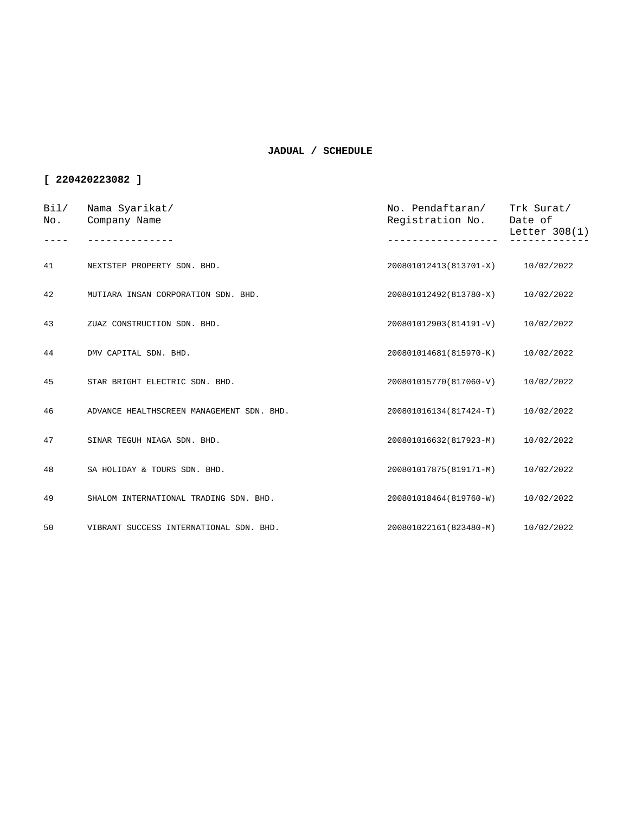| Bil/<br>No. | Nama Syarikat/<br>Company Name            | No. Pendaftaran/<br>Registration No. | Trk Surat/<br>Date of<br>Letter 308(1) |
|-------------|-------------------------------------------|--------------------------------------|----------------------------------------|
|             |                                           |                                      |                                        |
| 41          | NEXTSTEP PROPERTY SDN. BHD.               | 200801012413(813701-X) 10/02/2022    |                                        |
| 42          | MUTIARA INSAN CORPORATION SDN. BHD.       | 200801012492(813780-X)               | 10/02/2022                             |
| 43          | ZUAZ CONSTRUCTION SDN. BHD.               | 200801012903(814191-V)               | 10/02/2022                             |
| 44          | DMV CAPITAL SDN. BHD.                     | 200801014681(815970-K)               | 10/02/2022                             |
| 45          | STAR BRIGHT ELECTRIC SDN. BHD.            | 200801015770(817060-V)               | 10/02/2022                             |
| 46          | ADVANCE HEALTHSCREEN MANAGEMENT SDN. BHD. | 200801016134(817424-T)               | 10/02/2022                             |
| 47          | SINAR TEGUH NIAGA SDN. BHD.               | 200801016632(817923-M)               | 10/02/2022                             |
| 48          | SA HOLIDAY & TOURS SDN. BHD.              | 200801017875(819171-M)               | 10/02/2022                             |
| 49          | SHALOM INTERNATIONAL TRADING SDN. BHD.    | 200801018464(819760-W)               | 10/02/2022                             |
| 50          | VIBRANT SUCCESS INTERNATIONAL SDN. BHD.   | 200801022161(823480-M)               | 10/02/2022                             |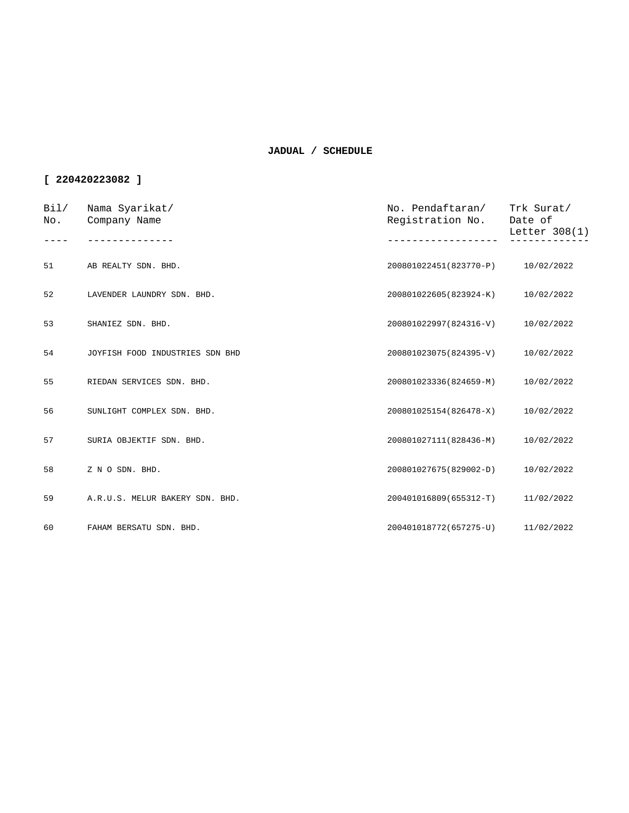| Bil/<br>No. | Nama Syarikat/<br>Company Name  | No. Pendaftaran/<br>Registration No. | Trk Surat/<br>Date of<br>Letter 308(1) |
|-------------|---------------------------------|--------------------------------------|----------------------------------------|
|             |                                 |                                      |                                        |
| 51          | AB REALTY SDN. BHD.             | 200801022451(823770-P)               | 10/02/2022                             |
| 52          | LAVENDER LAUNDRY SDN. BHD.      | 200801022605(823924-K)               | 10/02/2022                             |
| 53          | SHANIEZ SDN. BHD.               | 200801022997(824316-V)               | 10/02/2022                             |
| 54          | JOYFISH FOOD INDUSTRIES SDN BHD | 200801023075(824395-V)               | 10/02/2022                             |
| 55          | RIEDAN SERVICES SDN. BHD.       | 200801023336(824659-M)               | 10/02/2022                             |
| 56          | SUNLIGHT COMPLEX SDN. BHD.      | 200801025154(826478-X)               | 10/02/2022                             |
| 57          | SURIA OBJEKTIF SDN. BHD.        | 200801027111(828436-M)               | 10/02/2022                             |
| 58          | Z N O SDN. BHD.                 | 200801027675(829002-D)               | 10/02/2022                             |
| 59          | A.R.U.S. MELUR BAKERY SDN. BHD. | 200401016809(655312-T)               | 11/02/2022                             |
| 60          | FAHAM BERSATU SDN. BHD.         | 200401018772(657275-U) 11/02/2022    |                                        |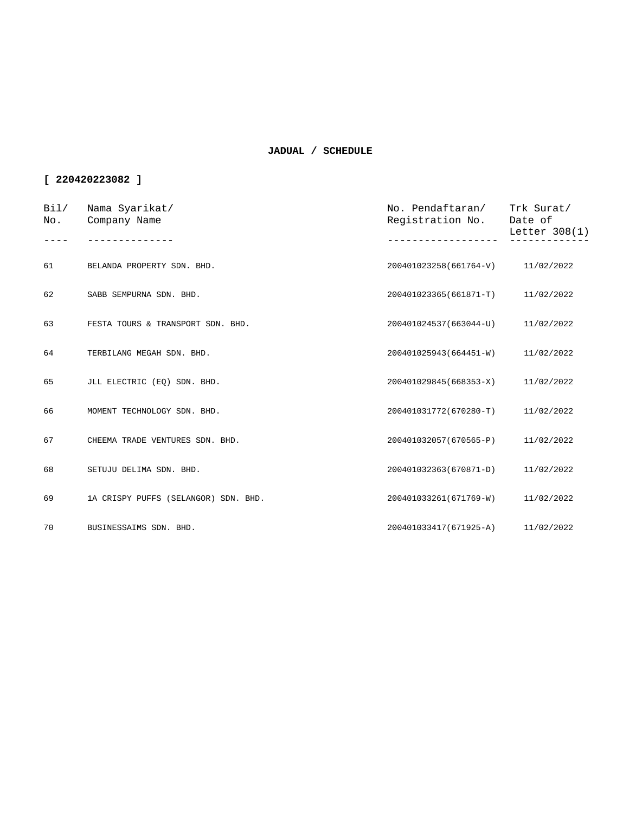| Bi1/<br>No. | Nama Syarikat/<br>Company Name       | No. Pendaftaran/<br>Registration No. | Trk Surat/<br>Date of<br>Letter $308(1)$ |
|-------------|--------------------------------------|--------------------------------------|------------------------------------------|
|             |                                      |                                      |                                          |
| 61          | BELANDA PROPERTY SDN. BHD.           | 200401023258(661764-V)               | 11/02/2022                               |
| 62          | SABB SEMPURNA SDN. BHD.              | 200401023365(661871-T)               | 11/02/2022                               |
| 63          | FESTA TOURS & TRANSPORT SDN. BHD.    | 200401024537(663044-U)               | 11/02/2022                               |
| 64          | TERBILANG MEGAH SDN. BHD.            | 200401025943(664451-W)               | 11/02/2022                               |
| 65          | JLL ELECTRIC (EQ) SDN. BHD.          | 200401029845(668353-X)               | 11/02/2022                               |
| 66          | MOMENT TECHNOLOGY SDN. BHD.          | 200401031772(670280-T)               | 11/02/2022                               |
| 67          | CHEEMA TRADE VENTURES SDN. BHD.      | 200401032057(670565-P)               | 11/02/2022                               |
| 68          | SETUJU DELIMA SDN. BHD.              | 200401032363(670871-D)               | 11/02/2022                               |
| 69          | 1A CRISPY PUFFS (SELANGOR) SDN. BHD. | 200401033261(671769-W)               | 11/02/2022                               |
| 70          | BUSINESSAIMS SDN. BHD.               | 200401033417(671925-A) 11/02/2022    |                                          |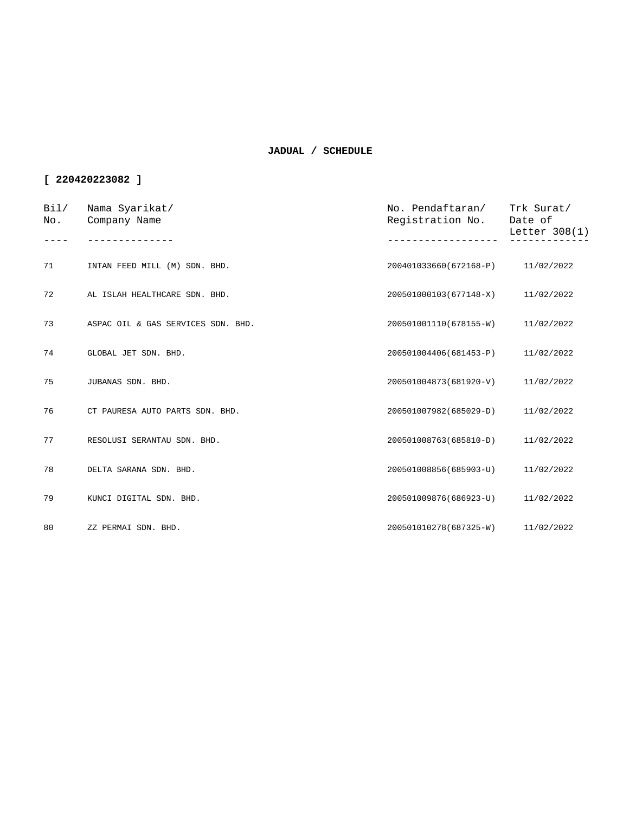| Bil/<br>No. | Nama Syarikat/<br>Company Name     | No. Pendaftaran/<br>Registration No. | Trk Surat/<br>Date of<br>Letter 308(1) |
|-------------|------------------------------------|--------------------------------------|----------------------------------------|
|             |                                    |                                      |                                        |
| 71          | INTAN FEED MILL (M) SDN. BHD.      | 200401033660(672168-P) 11/02/2022    |                                        |
| 72          | AL ISLAH HEALTHCARE SDN. BHD.      | 200501000103(677148-X)               | 11/02/2022                             |
| 73          | ASPAC OIL & GAS SERVICES SDN. BHD. | 200501001110(678155-W)               | 11/02/2022                             |
| 74          | GLOBAL JET SDN. BHD.               | 200501004406(681453-P)               | 11/02/2022                             |
| 75          | JUBANAS SDN. BHD.                  | 200501004873(681920-V)               | 11/02/2022                             |
| 76          | CT PAURESA AUTO PARTS SDN. BHD.    | 200501007982(685029-D)               | 11/02/2022                             |
| 77          | RESOLUSI SERANTAU SDN. BHD.        | 200501008763(685810-D)               | 11/02/2022                             |
| 78          | DELTA SARANA SDN. BHD.             | 200501008856(685903-U)               | 11/02/2022                             |
| 79          | KUNCI DIGITAL SDN. BHD.            | 200501009876(686923-U)               | 11/02/2022                             |
| 80          | ZZ PERMAI SDN. BHD.                | 200501010278(687325-W) 11/02/2022    |                                        |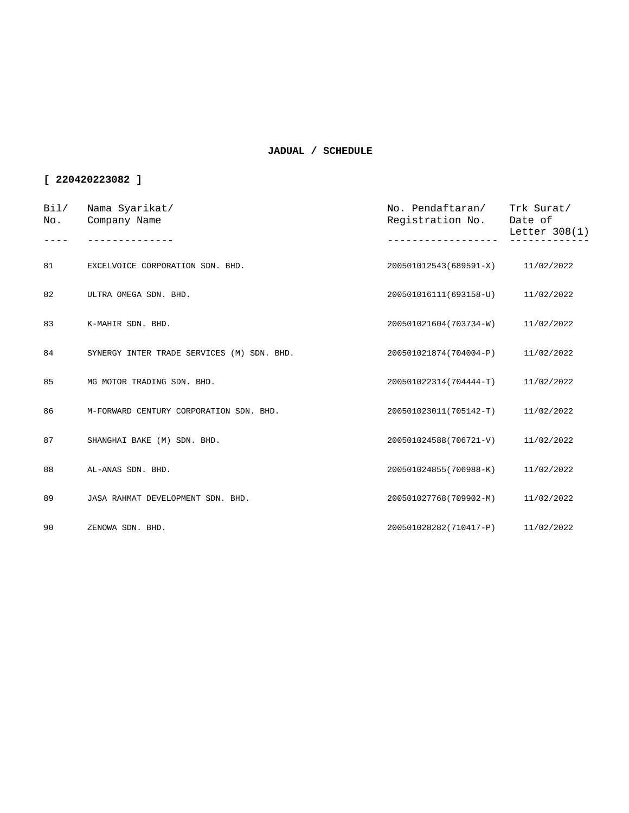| Bil/<br>No. | Nama Syarikat/<br>Company Name             | No. Pendaftaran/<br>Registration No. | Trk Surat/<br>Date of<br>Letter 308(1) |
|-------------|--------------------------------------------|--------------------------------------|----------------------------------------|
| 81          | EXCELVOICE CORPORATION SDN. BHD.           | 200501012543(689591-X) 11/02/2022    |                                        |
| 82          | ULTRA OMEGA SDN. BHD.                      | 200501016111(693158-U)               | 11/02/2022                             |
| 83          | K-MAHIR SDN. BHD.                          | 200501021604(703734-W)               | 11/02/2022                             |
| 84          | SYNERGY INTER TRADE SERVICES (M) SDN. BHD. | 200501021874(704004-P)               | 11/02/2022                             |
| 85          | MG MOTOR TRADING SDN. BHD.                 | 200501022314(704444-T)               | 11/02/2022                             |
| 86          | M-FORWARD CENTURY CORPORATION SDN. BHD.    | 200501023011(705142-T)               | 11/02/2022                             |
| 87          | SHANGHAI BAKE (M) SDN. BHD.                | 200501024588(706721-V)               | 11/02/2022                             |
| 88          | AL-ANAS SDN. BHD.                          | 200501024855(706988-K)               | 11/02/2022                             |
| 89          | JASA RAHMAT DEVELOPMENT SDN. BHD.          | 200501027768(709902-M)               | 11/02/2022                             |
| 90          | ZENOWA SDN. BHD.                           | 200501028282(710417-P) 11/02/2022    |                                        |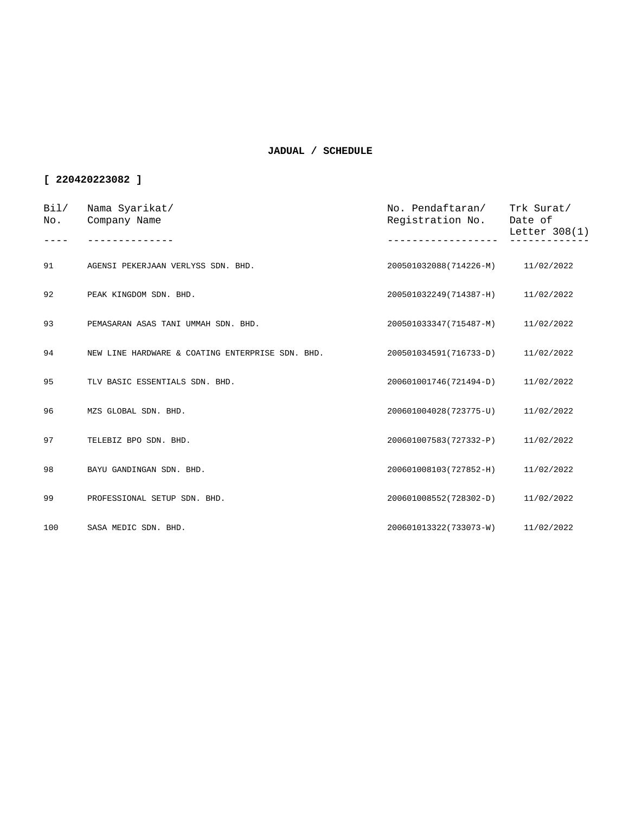| Bi1/<br>No. | Nama Syarikat/<br>Company Name                   | No. Pendaftaran/<br>Registration No. | Trk Surat/<br>Date of<br>Letter $308(1)$ |
|-------------|--------------------------------------------------|--------------------------------------|------------------------------------------|
|             |                                                  |                                      |                                          |
| 91          | AGENSI PEKERJAAN VERLYSS SDN. BHD.               | 200501032088(714226-M)               | 11/02/2022                               |
| 92          | PEAK KINGDOM SDN. BHD.                           | 200501032249(714387-H)               | 11/02/2022                               |
| 93          | PEMASARAN ASAS TANI UMMAH SDN. BHD.              | 200501033347(715487-M)               | 11/02/2022                               |
| 94          | NEW LINE HARDWARE & COATING ENTERPRISE SDN. BHD. | 200501034591(716733-D)               | 11/02/2022                               |
| 95          | TLV BASIC ESSENTIALS SDN. BHD.                   | 200601001746(721494-D)               | 11/02/2022                               |
| 96          | MZS GLOBAL SDN. BHD.                             | 200601004028(723775-U)               | 11/02/2022                               |
| 97          | TELEBIZ BPO SDN. BHD.                            | 200601007583(727332-P)               | 11/02/2022                               |
| 98          | BAYU GANDINGAN SDN. BHD.                         | 200601008103(727852-H)               | 11/02/2022                               |
| 99          | PROFESSIONAL SETUP SDN. BHD.                     | 200601008552(728302-D)               | 11/02/2022                               |
| 100         | SASA MEDIC SDN. BHD.                             | 200601013322(733073-W)               | 11/02/2022                               |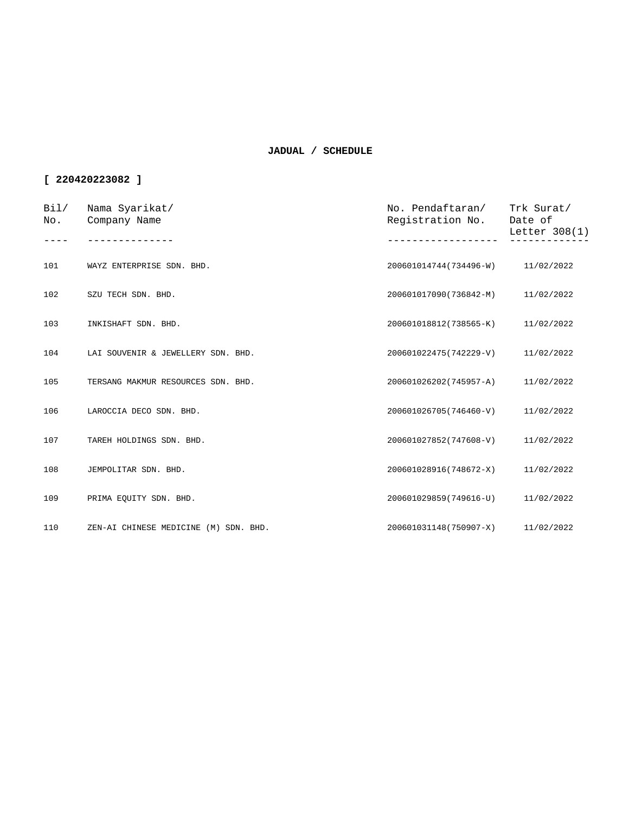| Bi1/<br>No. | Nama Syarikat/<br>Company Name        | No. Pendaftaran/<br>Registration No. | Trk Surat/<br>Date of<br>Letter 308(1) |
|-------------|---------------------------------------|--------------------------------------|----------------------------------------|
|             |                                       |                                      |                                        |
| 101         | WAYZ ENTERPRISE SDN. BHD.             | 200601014744(734496-W)               | 11/02/2022                             |
| 102         | SZU TECH SDN. BHD.                    | 200601017090(736842-M)               | 11/02/2022                             |
| 103         | INKISHAFT SDN. BHD.                   | 200601018812(738565-K)               | 11/02/2022                             |
| 104         | LAI SOUVENIR & JEWELLERY SDN. BHD.    | 200601022475(742229-V)               | 11/02/2022                             |
| 105         | TERSANG MAKMUR RESOURCES SDN. BHD.    | 200601026202(745957-A)               | 11/02/2022                             |
| 106         | LAROCCIA DECO SDN. BHD.               | 200601026705(746460-V)               | 11/02/2022                             |
| 107         | TAREH HOLDINGS SDN. BHD.              | 200601027852(747608-V)               | 11/02/2022                             |
| 108         | JEMPOLITAR SDN. BHD.                  | 200601028916(748672-X)               | 11/02/2022                             |
| 109         | PRIMA EQUITY SDN. BHD.                | 200601029859(749616-U)               | 11/02/2022                             |
| 110         | ZEN-AI CHINESE MEDICINE (M) SDN. BHD. | 200601031148(750907-X)               | 11/02/2022                             |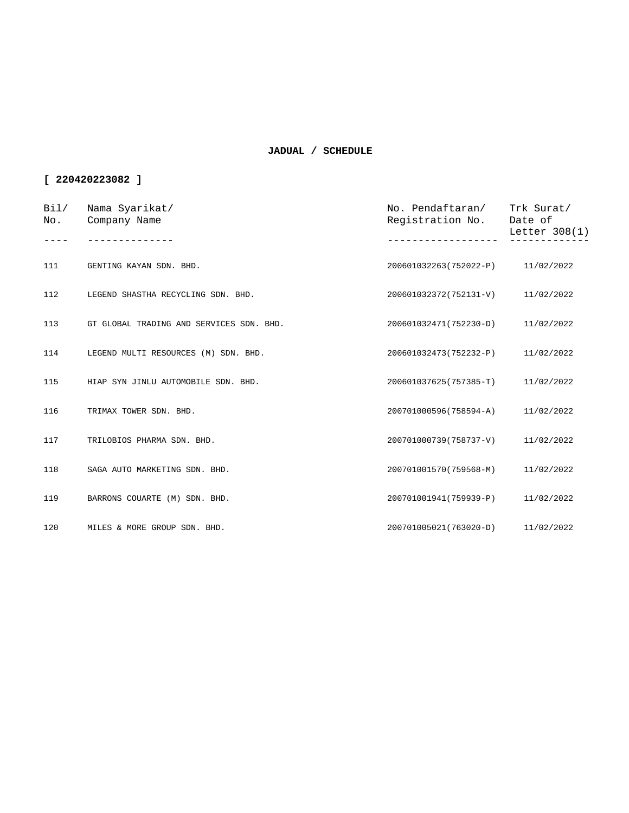| Bil/<br>No. | Nama Syarikat/<br>Company Name           | No. Pendaftaran/<br>Registration No. | Trk Surat/<br>Date of<br>Letter 308(1) |
|-------------|------------------------------------------|--------------------------------------|----------------------------------------|
|             |                                          |                                      |                                        |
| 111         | GENTING KAYAN SDN. BHD.                  | 200601032263(752022-P) 11/02/2022    |                                        |
| 112         | LEGEND SHASTHA RECYCLING SDN. BHD.       | 200601032372(752131-V)               | 11/02/2022                             |
| 113         | GT GLOBAL TRADING AND SERVICES SDN. BHD. | 200601032471(752230-D)               | 11/02/2022                             |
| 114         | LEGEND MULTI RESOURCES (M) SDN. BHD.     | 200601032473(752232-P)               | 11/02/2022                             |
| 115         | HIAP SYN JINLU AUTOMOBILE SDN. BHD.      | 200601037625(757385-T)               | 11/02/2022                             |
| 116         | TRIMAX TOWER SDN. BHD.                   | 200701000596(758594-A)               | 11/02/2022                             |
| 117         | TRILOBIOS PHARMA SDN. BHD.               | 200701000739(758737-V)               | 11/02/2022                             |
| 118         | SAGA AUTO MARKETING SDN. BHD.            | 200701001570(759568-M)               | 11/02/2022                             |
| 119         | BARRONS COUARTE (M) SDN. BHD.            | 200701001941(759939-P)               | 11/02/2022                             |
| 120         | MILES & MORE GROUP SDN. BHD.             | 200701005021(763020-D)               | 11/02/2022                             |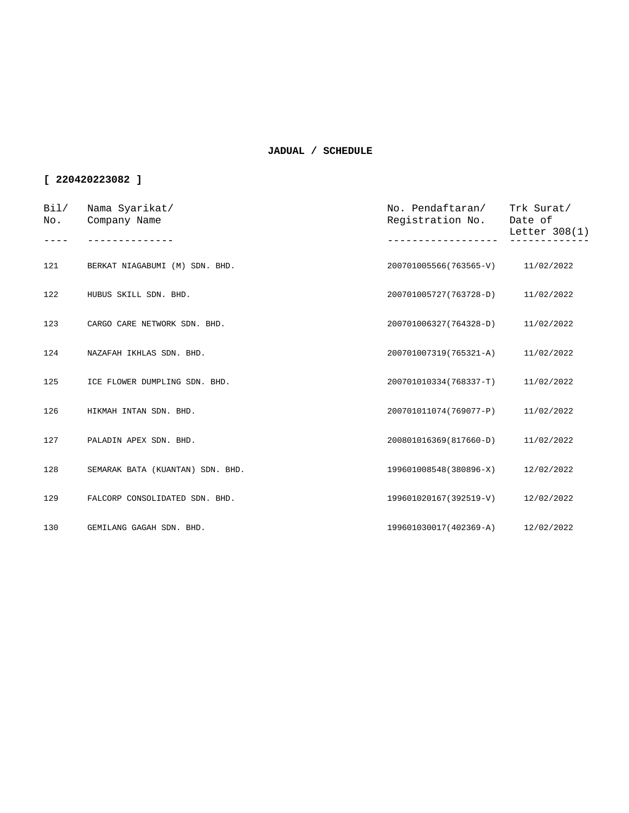| Bi1/<br>No. | Nama Syarikat/<br>Company Name   | No. Pendaftaran/<br>Registration No. | Trk Surat/<br>Date of<br>Letter $308(1)$ |
|-------------|----------------------------------|--------------------------------------|------------------------------------------|
|             |                                  |                                      |                                          |
| 121         | BERKAT NIAGABUMI (M) SDN. BHD.   | 200701005566(763565-V)               | 11/02/2022                               |
| 122         | HUBUS SKILL SDN. BHD.            | 200701005727(763728-D)               | 11/02/2022                               |
| 123         | CARGO CARE NETWORK SDN. BHD.     | 200701006327(764328-D)               | 11/02/2022                               |
| 124         | NAZAFAH IKHLAS SDN. BHD.         | 200701007319(765321-A)               | 11/02/2022                               |
| 125         | ICE FLOWER DUMPLING SDN. BHD.    | 200701010334(768337-T)               | 11/02/2022                               |
| 126         | HIKMAH INTAN SDN. BHD.           | 200701011074(769077-P)               | 11/02/2022                               |
| 127         | PALADIN APEX SDN. BHD.           | 200801016369(817660-D)               | 11/02/2022                               |
| 128         | SEMARAK BATA (KUANTAN) SDN. BHD. | 199601008548(380896-X)               | 12/02/2022                               |
| 129         | FALCORP CONSOLIDATED SDN. BHD.   | 199601020167(392519-V)               | 12/02/2022                               |
| 130         | GEMILANG GAGAH SDN. BHD.         | 199601030017(402369-A)               | 12/02/2022                               |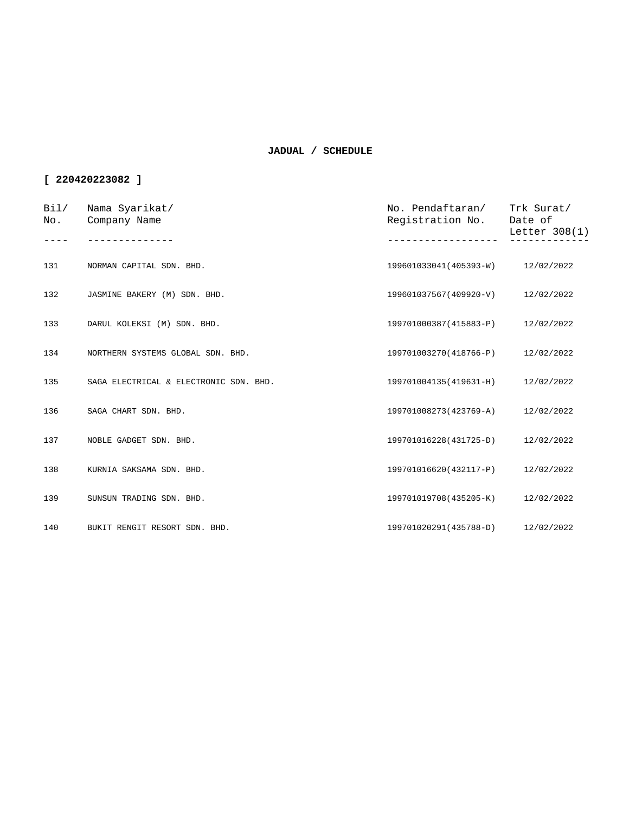| Bi1/<br>No. | Nama Syarikat/<br>Company Name         | No. Pendaftaran/<br>Registration No. | Trk Surat/<br>Date of<br>Letter 308(1) |
|-------------|----------------------------------------|--------------------------------------|----------------------------------------|
|             |                                        |                                      |                                        |
| 131         | NORMAN CAPITAL SDN. BHD.               | 199601033041(405393-W) 12/02/2022    |                                        |
| 132         | JASMINE BAKERY (M) SDN. BHD.           | 199601037567(409920-V)               | 12/02/2022                             |
| 133         | DARUL KOLEKSI (M) SDN. BHD.            | 199701000387(415883-P)               | 12/02/2022                             |
| 134         | NORTHERN SYSTEMS GLOBAL SDN. BHD.      | 199701003270(418766-P)               | 12/02/2022                             |
| 135         | SAGA ELECTRICAL & ELECTRONIC SDN. BHD. | 199701004135(419631-H)               | 12/02/2022                             |
| 136         | SAGA CHART SDN. BHD.                   | 199701008273(423769-A)               | 12/02/2022                             |
| 137         | NOBLE GADGET SDN. BHD.                 | 199701016228(431725-D)               | 12/02/2022                             |
| 138         | KURNIA SAKSAMA SDN. BHD.               | 199701016620(432117-P)               | 12/02/2022                             |
| 139         | SUNSUN TRADING SDN. BHD.               | 199701019708(435205-K)               | 12/02/2022                             |
| 140         | BUKIT RENGIT RESORT SDN. BHD.          | 199701020291(435788-D)               | 12/02/2022                             |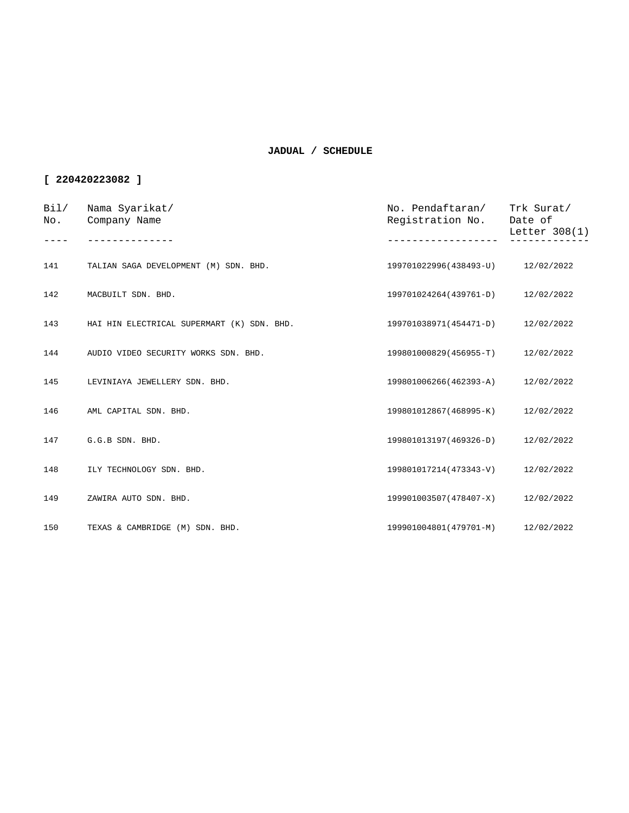| Bil/<br>No. | Nama Syarikat/<br>Company Name             | No. Pendaftaran/ Trk Surat/<br>Registration No. | Date of<br>Letter 308(1) |
|-------------|--------------------------------------------|-------------------------------------------------|--------------------------|
| 141         | TALIAN SAGA DEVELOPMENT (M) SDN. BHD.      | 199701022996(438493-U) 12/02/2022               |                          |
|             |                                            |                                                 |                          |
| 142         | MACBUILT SDN. BHD.                         | 199701024264(439761-D)                          | 12/02/2022               |
| 143         | HAI HIN ELECTRICAL SUPERMART (K) SDN. BHD. | 199701038971(454471-D) 12/02/2022               |                          |
| 144         | AUDIO VIDEO SECURITY WORKS SDN. BHD.       | 199801000829(456955-T)                          | 12/02/2022               |
| 145         | LEVINIAYA JEWELLERY SDN. BHD.              | 199801006266(462393-A)                          | 12/02/2022               |
| 146         | AML CAPITAL SDN. BHD.                      | 199801012867(468995-K) 12/02/2022               |                          |
| 147         | G.G.B SDN. BHD.                            | 199801013197(469326-D)                          | 12/02/2022               |
| 148         | ILY TECHNOLOGY SDN. BHD.                   | 199801017214(473343-V)                          | 12/02/2022               |
| 149         | ZAWIRA AUTO SDN. BHD.                      | 199901003507(478407-X)                          | 12/02/2022               |
| 150         | TEXAS & CAMBRIDGE (M) SDN. BHD.            | 199901004801(479701-M)                          | 12/02/2022               |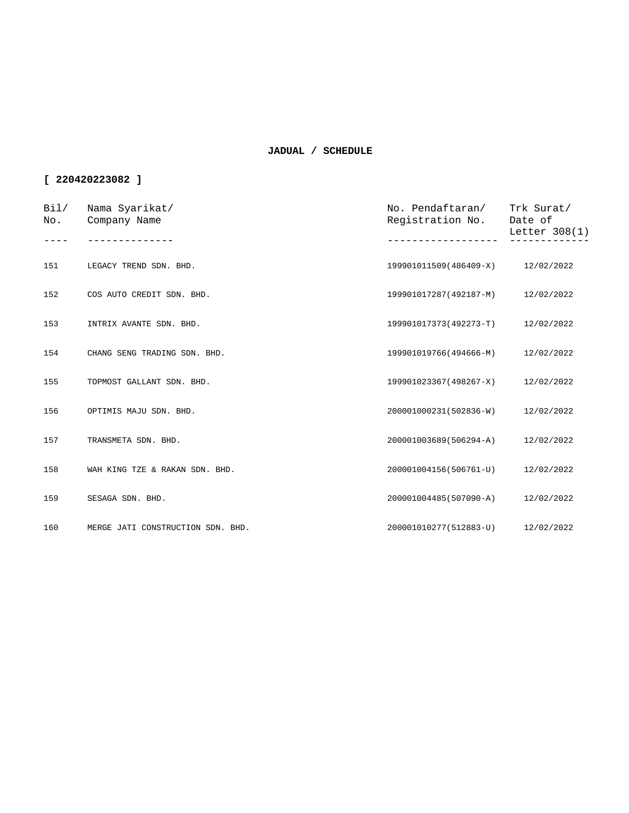| Bi1/<br>No. | Nama Syarikat/<br>Company Name    | No. Pendaftaran/<br>Registration No. | Trk Surat/<br>Date of<br>Letter $308(1)$ |
|-------------|-----------------------------------|--------------------------------------|------------------------------------------|
|             |                                   |                                      |                                          |
| 151         | LEGACY TREND SDN. BHD.            | 199901011509(486409-X)               | 12/02/2022                               |
| 152         | COS AUTO CREDIT SDN. BHD.         | 199901017287(492187-M)               | 12/02/2022                               |
| 153         | INTRIX AVANTE SDN. BHD.           | 199901017373(492273-T)               | 12/02/2022                               |
| 154         | CHANG SENG TRADING SDN. BHD.      | 199901019766(494666-M)               | 12/02/2022                               |
| 155         | TOPMOST GALLANT SDN. BHD.         | 199901023367(498267-X)               | 12/02/2022                               |
| 156         | OPTIMIS MAJU SDN. BHD.            | 200001000231(502836-W)               | 12/02/2022                               |
| 157         | TRANSMETA SDN. BHD.               | 200001003689(506294-A)               | 12/02/2022                               |
| 158         | WAH KING TZE & RAKAN SDN. BHD.    | 200001004156(506761-U)               | 12/02/2022                               |
| 159         | SESAGA SDN. BHD.                  | 200001004485(507090-A)               | 12/02/2022                               |
| 160         | MERGE JATI CONSTRUCTION SDN. BHD. | 200001010277(512883-U) 12/02/2022    |                                          |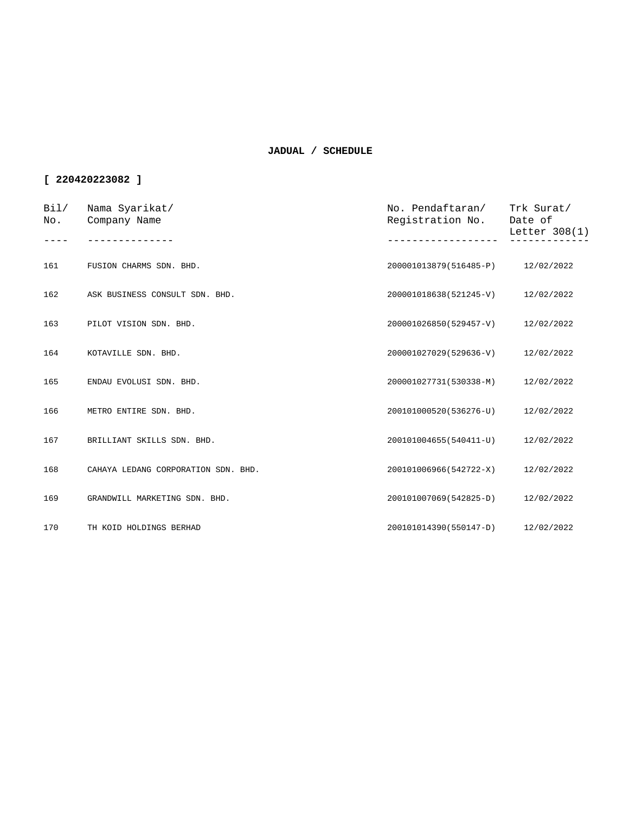| Bi1/<br>No. | Nama Syarikat/<br>Company Name      | No. Pendaftaran/<br>Registration No. | Trk Surat/<br>Date of<br>Letter $308(1)$ |
|-------------|-------------------------------------|--------------------------------------|------------------------------------------|
|             |                                     |                                      |                                          |
| 161         | FUSION CHARMS SDN. BHD.             | 200001013879(516485-P) 12/02/2022    |                                          |
| 162         | ASK BUSINESS CONSULT SDN. BHD.      | 200001018638(521245-V)               | 12/02/2022                               |
| 163         | PILOT VISION SDN. BHD.              | 200001026850(529457-V)               | 12/02/2022                               |
| 164         | KOTAVILLE SDN. BHD.                 | 200001027029(529636-V)               | 12/02/2022                               |
| 165         | ENDAU EVOLUSI SDN. BHD.             | 200001027731(530338-M)               | 12/02/2022                               |
| 166         | METRO ENTIRE SDN. BHD.              | 200101000520(536276-U)               | 12/02/2022                               |
| 167         | BRILLIANT SKILLS SDN. BHD.          | 200101004655(540411-U)               | 12/02/2022                               |
| 168         | CAHAYA LEDANG CORPORATION SDN. BHD. | 200101006966(542722-X)               | 12/02/2022                               |
| 169         | GRANDWILL MARKETING SDN. BHD.       | 200101007069(542825-D)               | 12/02/2022                               |
| 170         | TH KOID HOLDINGS BERHAD             | 200101014390(550147-D) 12/02/2022    |                                          |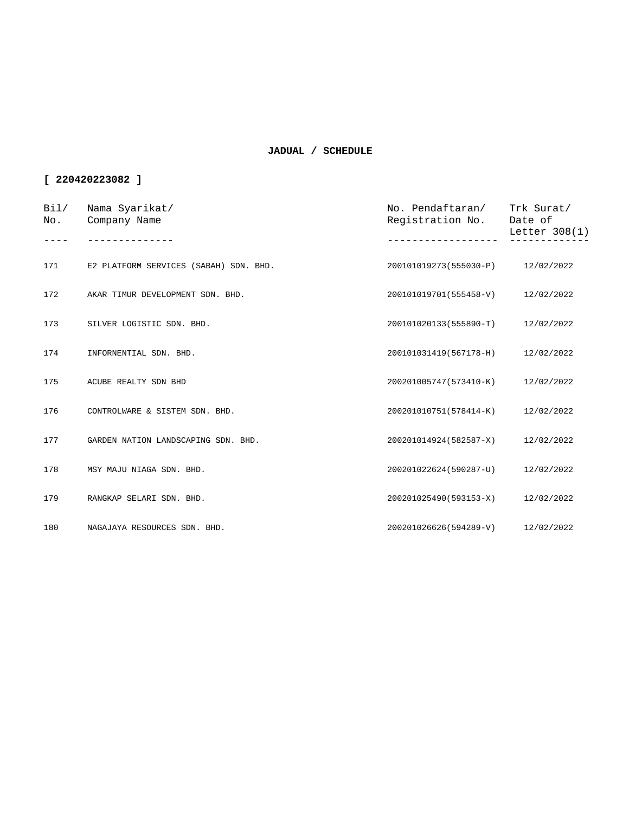| Bi1/<br>No. | Nama Syarikat/<br>Company Name         | No. Pendaftaran/<br>Registration No. | Trk Surat/<br>Date of<br>Letter $308(1)$ |
|-------------|----------------------------------------|--------------------------------------|------------------------------------------|
|             |                                        |                                      |                                          |
| 171         | E2 PLATFORM SERVICES (SABAH) SDN. BHD. | 200101019273(555030-P)               | 12/02/2022                               |
| 172         | AKAR TIMUR DEVELOPMENT SDN. BHD.       | 200101019701(555458-V)               | 12/02/2022                               |
| 173         | SILVER LOGISTIC SDN. BHD.              | 200101020133(555890-T)               | 12/02/2022                               |
| 174         | INFORNENTIAL SDN. BHD.                 | 200101031419(567178-H)               | 12/02/2022                               |
| 175         | ACUBE REALTY SDN BHD                   | 200201005747(573410-K)               | 12/02/2022                               |
| 176         | CONTROLWARE & SISTEM SDN. BHD.         | 200201010751(578414-K)               | 12/02/2022                               |
| 177         | GARDEN NATION LANDSCAPING SDN. BHD.    | 200201014924(582587-X)               | 12/02/2022                               |
| 178         | MSY MAJU NIAGA SDN. BHD.               | 200201022624(590287-U)               | 12/02/2022                               |
| 179         | RANGKAP SELARI SDN. BHD.               | 200201025490(593153-X)               | 12/02/2022                               |
| 180         | NAGAJAYA RESOURCES SDN. BHD.           | 200201026626(594289-V)               | 12/02/2022                               |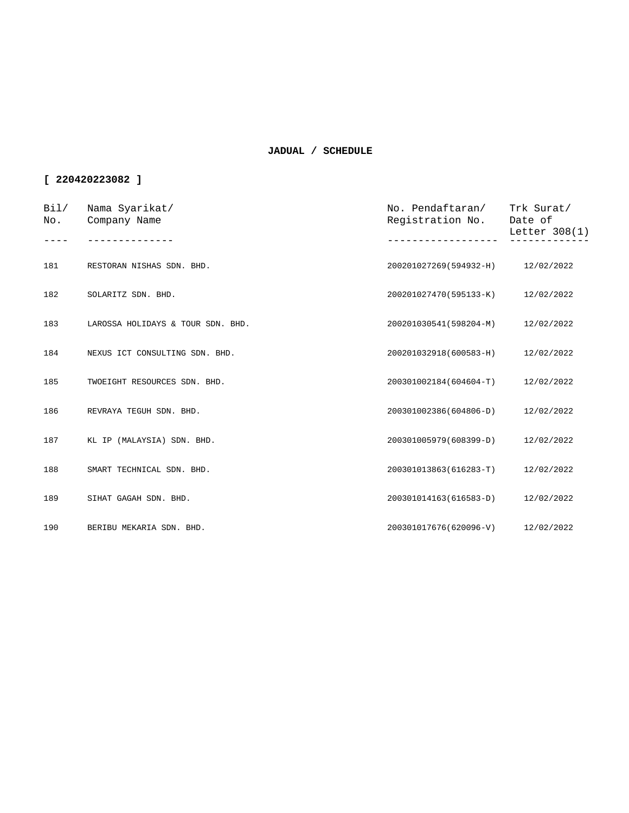| Bil/<br>No. | Nama Syarikat/<br>Company Name    | No. Pendaftaran/<br>Registration No. | Trk Surat/<br>Date of<br>Letter 308(1) |
|-------------|-----------------------------------|--------------------------------------|----------------------------------------|
| 181         | RESTORAN NISHAS SDN. BHD.         | 200201027269(594932-H)               | 12/02/2022                             |
|             |                                   |                                      |                                        |
| 182         | SOLARITZ SDN. BHD.                | 200201027470(595133-K)               | 12/02/2022                             |
| 183         | LAROSSA HOLIDAYS & TOUR SDN. BHD. | 200201030541(598204-M)               | 12/02/2022                             |
| 184         | NEXUS ICT CONSULTING SDN. BHD.    | 200201032918(600583-H)               | 12/02/2022                             |
| 185         | TWOEIGHT RESOURCES SDN. BHD.      | 200301002184(604604-T)               | 12/02/2022                             |
| 186         | REVRAYA TEGUH SDN. BHD.           | 200301002386(604806-D)               | 12/02/2022                             |
| 187         | KL IP (MALAYSIA) SDN. BHD.        | 200301005979(608399-D)               | 12/02/2022                             |
| 188         | SMART TECHNICAL SDN. BHD.         | 200301013863(616283-T)               | 12/02/2022                             |
| 189         | SIHAT GAGAH SDN. BHD.             | 200301014163(616583-D)               | 12/02/2022                             |
| 190         | BERIBU MEKARIA SDN. BHD.          | 200301017676(620096-V)               | 12/02/2022                             |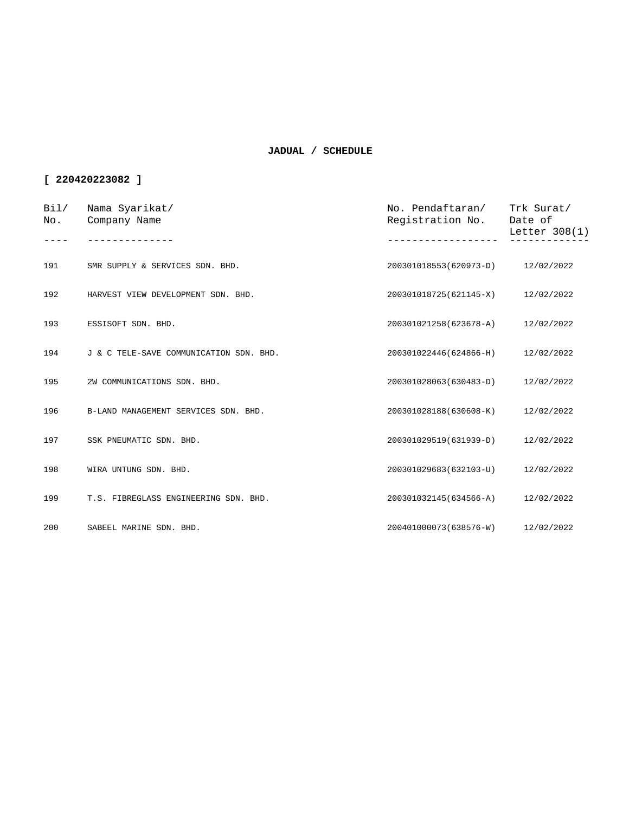| Bi1/<br>No. | Nama Syarikat/<br>Company Name          | No. Pendaftaran/<br>Registration No. | Trk Surat/<br>Date of<br>Letter $308(1)$ |
|-------------|-----------------------------------------|--------------------------------------|------------------------------------------|
|             |                                         |                                      |                                          |
| 191         | SMR SUPPLY & SERVICES SDN. BHD.         | 200301018553(620973-D)               | 12/02/2022                               |
| 192         | HARVEST VIEW DEVELOPMENT SDN. BHD.      | 200301018725(621145-X)               | 12/02/2022                               |
| 193         | ESSISOFT SDN. BHD.                      | 200301021258(623678-A)               | 12/02/2022                               |
| 194         | J & C TELE-SAVE COMMUNICATION SDN. BHD. | 200301022446(624866-H)               | 12/02/2022                               |
| 195         | 2W COMMUNICATIONS SDN. BHD.             | 200301028063(630483-D)               | 12/02/2022                               |
| 196         | B-LAND MANAGEMENT SERVICES SDN. BHD.    | 200301028188(630608-K)               | 12/02/2022                               |
| 197         | SSK PNEUMATIC SDN. BHD.                 | 200301029519(631939-D)               | 12/02/2022                               |
| 198         | WIRA UNTUNG SDN. BHD.                   | 200301029683(632103-U)               | 12/02/2022                               |
| 199         | T.S. FIBREGLASS ENGINEERING SDN. BHD.   | 200301032145(634566-A)               | 12/02/2022                               |
| 200         | SABEEL MARINE SDN. BHD.                 | 200401000073(638576-W)               | 12/02/2022                               |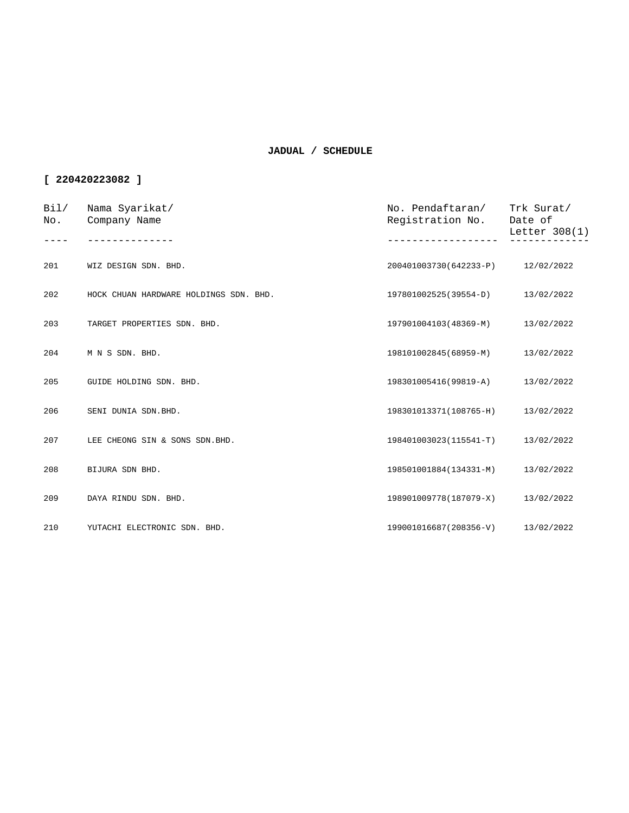| Bi1/<br>No. | Nama Syarikat/<br>Company Name         | No. Pendaftaran/<br>Registration No. | Trk Surat/<br>Date of<br>Letter 308(1) |
|-------------|----------------------------------------|--------------------------------------|----------------------------------------|
| 201         | WIZ DESIGN SDN. BHD.                   | 200401003730(642233-P) 12/02/2022    |                                        |
| 202         | HOCK CHUAN HARDWARE HOLDINGS SDN. BHD. | 197801002525(39554-D)                | 13/02/2022                             |
| 203         | TARGET PROPERTIES SDN. BHD.            | 197901004103(48369-M)                | 13/02/2022                             |
| 204         | M N S SDN. BHD.                        | 198101002845(68959-M)                | 13/02/2022                             |
| 205         | GUIDE HOLDING SDN. BHD.                | 198301005416(99819-A)                | 13/02/2022                             |
| 206         | SENI DUNIA SDN.BHD.                    | 198301013371(108765-H)               | 13/02/2022                             |
| 207         | LEE CHEONG SIN & SONS SDN. BHD.        | 198401003023(115541-T)               | 13/02/2022                             |
| 208         | BIJURA SDN BHD.                        | 198501001884(134331-M)               | 13/02/2022                             |
| 209         | DAYA RINDU SDN. BHD.                   | 198901009778(187079-X)               | 13/02/2022                             |
| 210         | YUTACHI ELECTRONIC SDN. BHD.           | 199001016687(208356-V)               | 13/02/2022                             |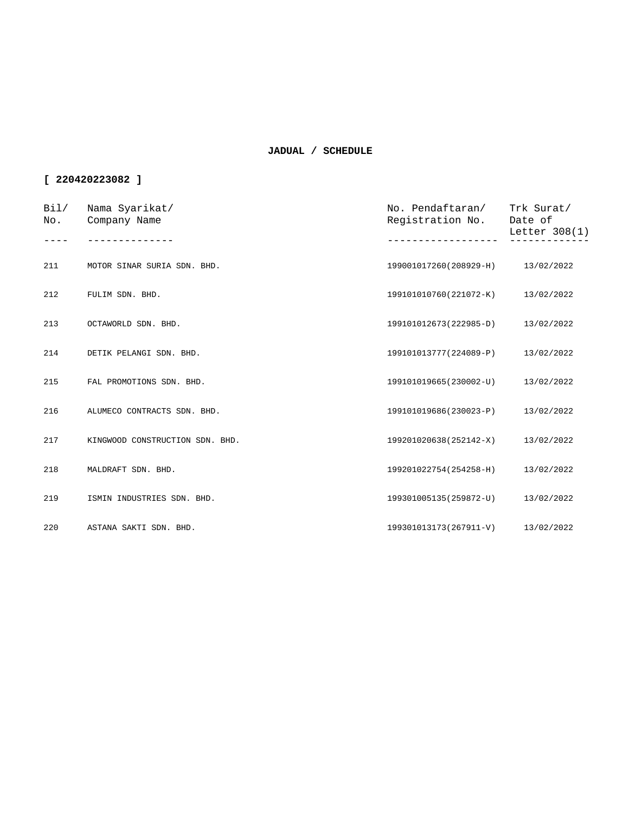| Bi1/<br>No. | Nama Syarikat/<br>Company Name  | No. Pendaftaran/<br>Registration No. | Trk Surat/<br>Date of<br>Letter 308(1) |
|-------------|---------------------------------|--------------------------------------|----------------------------------------|
|             |                                 |                                      |                                        |
| 211         | MOTOR SINAR SURIA SDN. BHD.     | 199001017260(208929-H)               | 13/02/2022                             |
| 212         | FULIM SDN. BHD.                 | 199101010760(221072-K)               | 13/02/2022                             |
| 213         | OCTAWORLD SDN. BHD.             | 199101012673(222985-D)               | 13/02/2022                             |
| 214         | DETIK PELANGI SDN. BHD.         | 199101013777(224089-P)               | 13/02/2022                             |
| 215         | FAL PROMOTIONS SDN. BHD.        | 199101019665(230002-U)               | 13/02/2022                             |
| 216         | ALUMECO CONTRACTS SDN. BHD.     | 199101019686(230023-P)               | 13/02/2022                             |
| 217         | KINGWOOD CONSTRUCTION SDN. BHD. | 199201020638(252142-X)               | 13/02/2022                             |
| 218         | MALDRAFT SDN. BHD.              | 199201022754(254258-H)               | 13/02/2022                             |
| 219         | ISMIN INDUSTRIES SDN. BHD.      | 199301005135(259872-U)               | 13/02/2022                             |
| 220         | ASTANA SAKTI SDN. BHD.          | 199301013173(267911-V) 13/02/2022    |                                        |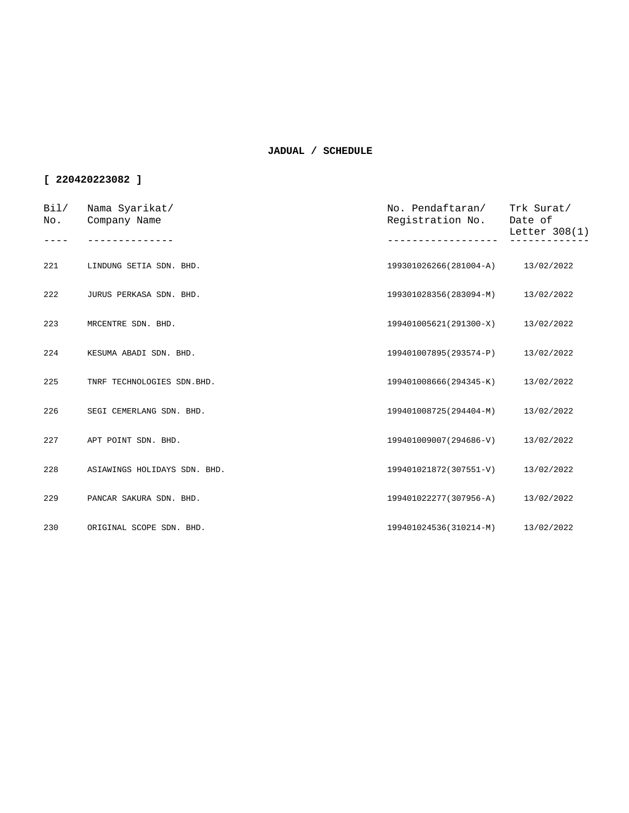| Bi1/<br>No. | Nama Syarikat/<br>Company Name | No. Pendaftaran/<br>Registration No. | Trk Surat/<br>Date of<br>Letter $308(1)$ |
|-------------|--------------------------------|--------------------------------------|------------------------------------------|
|             |                                |                                      |                                          |
| 221         | LINDUNG SETIA SDN. BHD.        | 199301026266(281004-A) 13/02/2022    |                                          |
| 222         | JURUS PERKASA SDN. BHD.        | 199301028356(283094-M)               | 13/02/2022                               |
| 223         | MRCENTRE SDN. BHD.             | 199401005621(291300-X)               | 13/02/2022                               |
| 224         | KESUMA ABADI SDN. BHD.         | 199401007895(293574-P)               | 13/02/2022                               |
| 225         | TNRF TECHNOLOGIES SDN.BHD.     | 199401008666(294345-K)               | 13/02/2022                               |
| 226         | SEGI CEMERLANG SDN. BHD.       | 199401008725(294404-M)               | 13/02/2022                               |
| 227         | APT POINT SDN. BHD.            | 199401009007(294686-V)               | 13/02/2022                               |
| 228         | ASIAWINGS HOLIDAYS SDN. BHD.   | 199401021872(307551-V)               | 13/02/2022                               |
| 229         | PANCAR SAKURA SDN. BHD.        | 199401022277(307956-A)               | 13/02/2022                               |
| 230         | ORIGINAL SCOPE SDN. BHD.       | 199401024536(310214-M)               | 13/02/2022                               |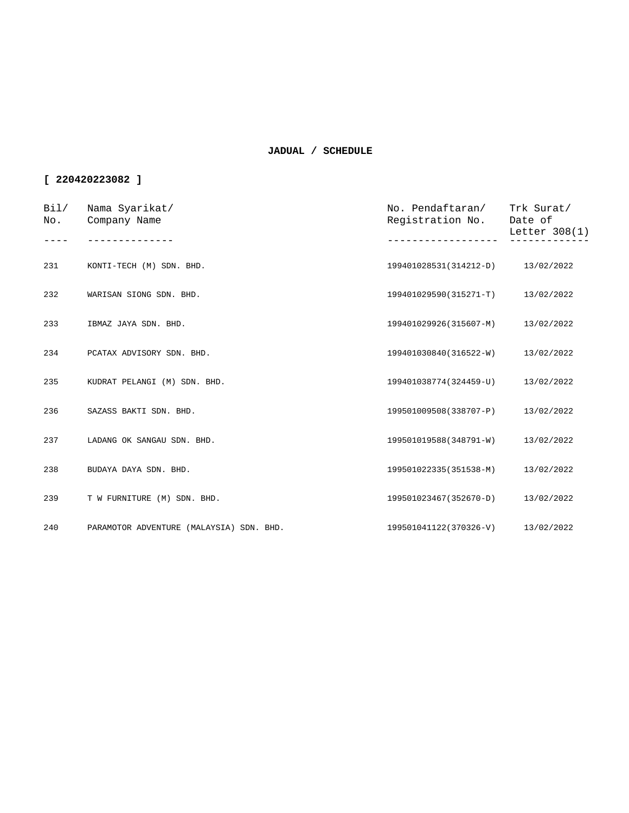| Bi1/<br>No. | Nama Syarikat/<br>Company Name           | No. Pendaftaran/<br>Registration No. | Trk Surat/<br>Date of<br>Letter $308(1)$ |
|-------------|------------------------------------------|--------------------------------------|------------------------------------------|
|             |                                          |                                      |                                          |
| 231         | KONTI-TECH (M) SDN. BHD.                 | 199401028531(314212-D) 13/02/2022    |                                          |
| 232         | WARISAN SIONG SDN. BHD.                  | 199401029590(315271-T)               | 13/02/2022                               |
| 233         | IBMAZ JAYA SDN. BHD.                     | 199401029926(315607-M)               | 13/02/2022                               |
| 234         | PCATAX ADVISORY SDN. BHD.                | 199401030840(316522-W)               | 13/02/2022                               |
| 235         | KUDRAT PELANGI (M) SDN. BHD.             | 199401038774(324459-U)               | 13/02/2022                               |
| 236         | SAZASS BAKTI SDN. BHD.                   | 199501009508(338707-P)               | 13/02/2022                               |
| 237         | LADANG OK SANGAU SDN. BHD.               | 199501019588(348791-W)               | 13/02/2022                               |
| 238         | BUDAYA DAYA SDN. BHD.                    | 199501022335(351538-M)               | 13/02/2022                               |
| 239         | T W FURNITURE (M) SDN. BHD.              | 199501023467(352670-D)               | 13/02/2022                               |
| 240         | PARAMOTOR ADVENTURE (MALAYSIA) SDN. BHD. | 199501041122(370326-V)               | 13/02/2022                               |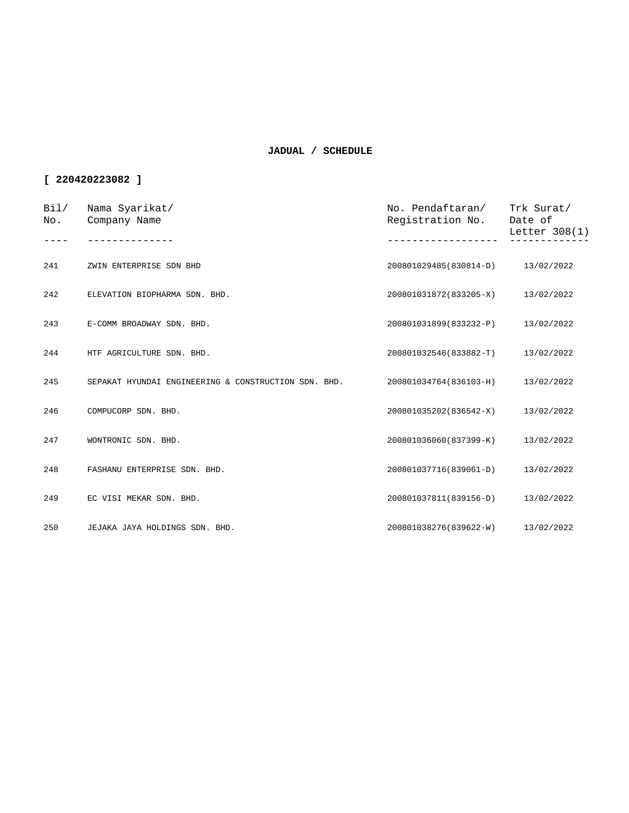| Bil/<br>No. | Nama Syarikat/<br>Company Name                       | No. Pendaftaran/ Trk Surat/<br>Registration No. | Date of<br>Letter 308(1) |
|-------------|------------------------------------------------------|-------------------------------------------------|--------------------------|
|             |                                                      |                                                 |                          |
| 241         | ZWIN ENTERPRISE SDN BHD                              | 200801029485(830814-D) 13/02/2022               |                          |
| 242         | ELEVATION BIOPHARMA SDN. BHD.                        | 200801031872(833205-X)                          | 13/02/2022               |
| 243         | E-COMM BROADWAY SDN. BHD.                            | 200801031899(833232-P)                          | 13/02/2022               |
| 244         | HTF AGRICULTURE SDN. BHD.                            | 200801032546(833882-T)                          | 13/02/2022               |
| 245         | SEPAKAT HYUNDAI ENGINEERING & CONSTRUCTION SDN. BHD. | 200801034764(836103-H)                          | 13/02/2022               |
| 246         | COMPUCORP SDN. BHD.                                  | 200801035202(836542-X)                          | 13/02/2022               |
| 247         | WONTRONIC SDN. BHD.                                  | 200801036060(837399-K)                          | 13/02/2022               |
| 248         | FASHANU ENTERPRISE SDN. BHD.                         | 200801037716(839061-D)                          | 13/02/2022               |
| 249         | EC VISI MEKAR SDN. BHD.                              | 200801037811(839156-D)                          | 13/02/2022               |
| 250         | JEJAKA JAYA HOLDINGS SDN. BHD.                       | 200801038276(839622-W)                          | 13/02/2022               |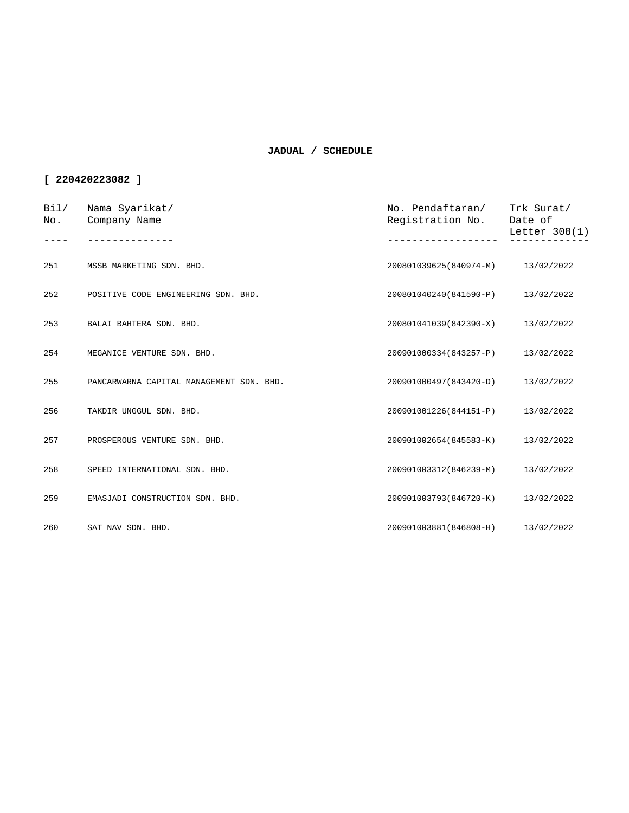| Bi1/<br>No. | Nama Syarikat/<br>Company Name           | No. Pendaftaran/<br>Registration No. | Trk Surat/<br>Date of<br>Letter $308(1)$ |
|-------------|------------------------------------------|--------------------------------------|------------------------------------------|
|             |                                          |                                      |                                          |
| 251         | MSSB MARKETING SDN. BHD.                 | 200801039625(840974-M)               | 13/02/2022                               |
| 252         | POSITIVE CODE ENGINEERING SDN. BHD.      | 200801040240(841590-P)               | 13/02/2022                               |
| 253         | BALAI BAHTERA SDN. BHD.                  | 200801041039(842390-X)               | 13/02/2022                               |
| 254         | MEGANICE VENTURE SDN. BHD.               | 200901000334(843257-P)               | 13/02/2022                               |
| 255         | PANCARWARNA CAPITAL MANAGEMENT SDN. BHD. | 200901000497(843420-D)               | 13/02/2022                               |
| 256         | TAKDIR UNGGUL SDN. BHD.                  | 200901001226(844151-P)               | 13/02/2022                               |
| 257         | PROSPEROUS VENTURE SDN. BHD.             | 200901002654(845583-K)               | 13/02/2022                               |
| 258         | SPEED INTERNATIONAL SDN. BHD.            | 200901003312(846239-M)               | 13/02/2022                               |
| 259         | EMASJADI CONSTRUCTION SDN. BHD.          | 200901003793(846720-K)               | 13/02/2022                               |
| 260         | SAT NAV SDN. BHD.                        | 200901003881(846808-H)               | 13/02/2022                               |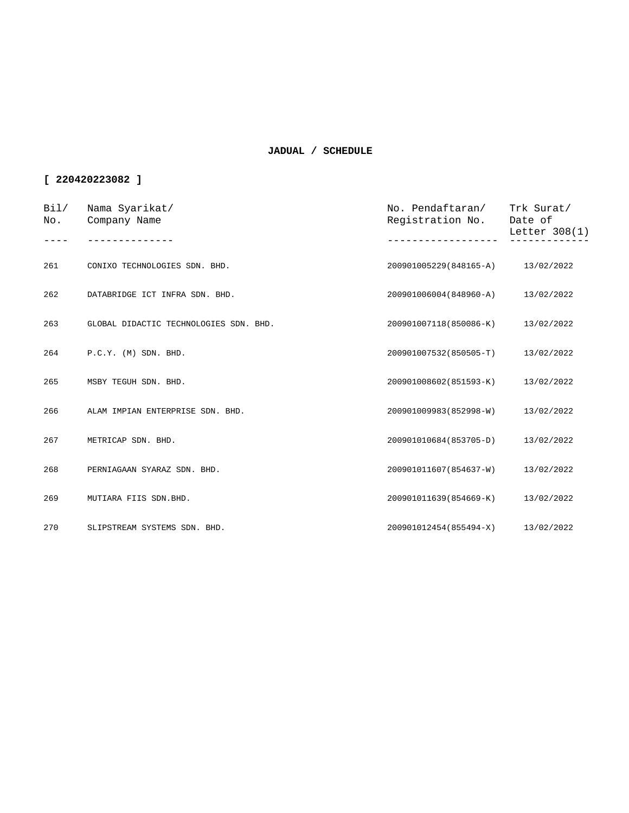| Bi1/<br>No. | Nama Syarikat/<br>Company Name         | No. Pendaftaran/<br>Registration No. | Trk Surat/<br>Date of<br>Letter 308(1) |
|-------------|----------------------------------------|--------------------------------------|----------------------------------------|
|             |                                        |                                      |                                        |
| 261         | CONIXO TECHNOLOGIES SDN. BHD.          | 200901005229(848165-A) 13/02/2022    |                                        |
| 262         | DATABRIDGE ICT INFRA SDN. BHD.         | 200901006004(848960-A)               | 13/02/2022                             |
| 263         | GLOBAL DIDACTIC TECHNOLOGIES SDN. BHD. | 200901007118(850086-K)               | 13/02/2022                             |
| 264         | $P.C.Y.$ (M) SDN. BHD.                 | 200901007532(850505-T)               | 13/02/2022                             |
| 265         | MSBY TEGUH SDN. BHD.                   | 200901008602(851593-K)               | 13/02/2022                             |
| 266         | ALAM IMPIAN ENTERPRISE SDN. BHD.       | 200901009983(852998-W)               | 13/02/2022                             |
| 267         | METRICAP SDN. BHD.                     | 200901010684(853705-D)               | 13/02/2022                             |
| 268         | PERNIAGAAN SYARAZ SDN. BHD.            | 200901011607(854637-W)               | 13/02/2022                             |
| 269         | MUTIARA FIIS SDN.BHD.                  | 200901011639(854669-K)               | 13/02/2022                             |
| 270         | SLIPSTREAM SYSTEMS SDN. BHD.           | 200901012454(855494-X)               | 13/02/2022                             |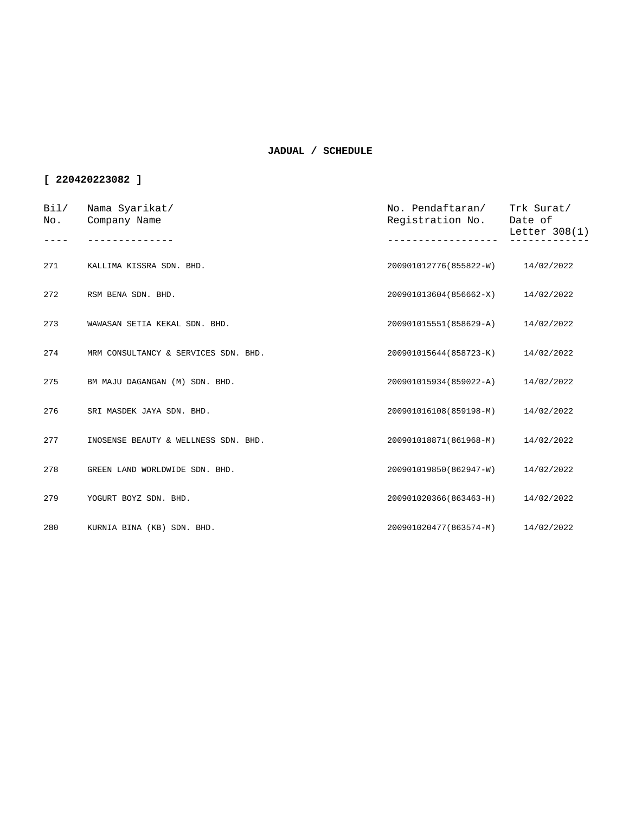| Bi1/<br>No. | Nama Syarikat/<br>Company Name       | No. Pendaftaran/<br>Registration No. | Trk Surat/<br>Date of<br>Letter 308(1) |
|-------------|--------------------------------------|--------------------------------------|----------------------------------------|
|             |                                      |                                      |                                        |
| 271         | KALLIMA KISSRA SDN. BHD.             | 200901012776(855822-W)               | 14/02/2022                             |
| 272         | RSM BENA SDN. BHD.                   | 200901013604(856662-X)               | 14/02/2022                             |
| 273         | WAWASAN SETIA KEKAL SDN. BHD.        | 200901015551(858629-A)               | 14/02/2022                             |
| 274         | MRM CONSULTANCY & SERVICES SDN. BHD. | 200901015644(858723-K)               | 14/02/2022                             |
| 275         | BM MAJU DAGANGAN (M) SDN. BHD.       | 200901015934(859022-A)               | 14/02/2022                             |
| 276         | SRI MASDEK JAYA SDN. BHD.            | 200901016108(859198-M)               | 14/02/2022                             |
| 277         | INOSENSE BEAUTY & WELLNESS SDN. BHD. | 200901018871(861968-M)               | 14/02/2022                             |
| 278         | GREEN LAND WORLDWIDE SDN. BHD.       | 200901019850(862947-W)               | 14/02/2022                             |
| 279         | YOGURT BOYZ SDN. BHD.                | 200901020366(863463-H)               | 14/02/2022                             |
| 280         | KURNIA BINA (KB) SDN. BHD.           | 200901020477(863574-M)               | 14/02/2022                             |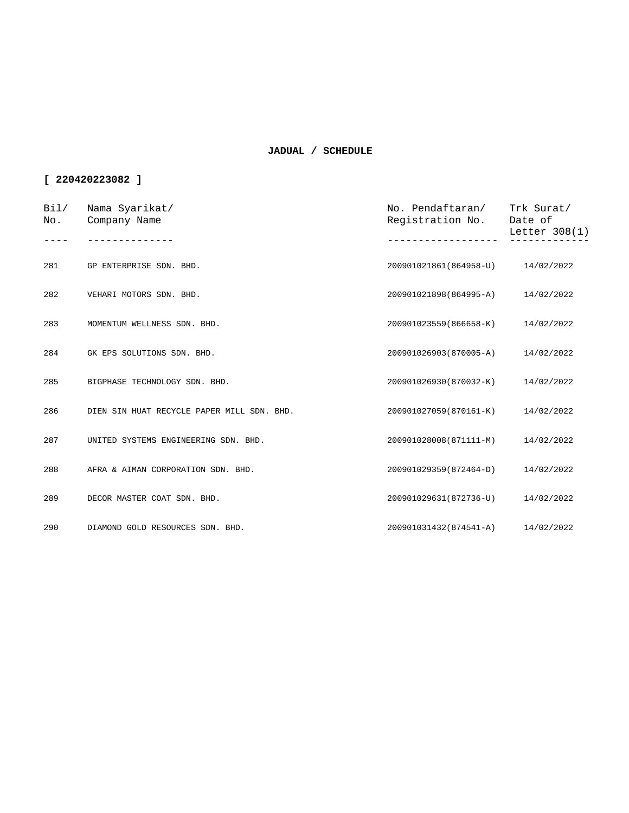| Bi1/<br>No. | Nama Syarikat/<br>Company Name             | No. Pendaftaran/<br>Registration No. | Trk Surat/<br>Date of<br>Letter $308(1)$ |
|-------------|--------------------------------------------|--------------------------------------|------------------------------------------|
|             |                                            |                                      |                                          |
| 281         | GP ENTERPRISE SDN. BHD.                    | 200901021861(864958-U)               | 14/02/2022                               |
| 282         | VEHARI MOTORS SDN. BHD.                    | 200901021898(864995-A)               | 14/02/2022                               |
| 283         | MOMENTUM WELLNESS SDN. BHD.                | 200901023559(866658-K)               | 14/02/2022                               |
| 284         | GK EPS SOLUTIONS SDN. BHD.                 | 200901026903(870005-A)               | 14/02/2022                               |
| 285         | BIGPHASE TECHNOLOGY SDN. BHD.              | 200901026930(870032-K)               | 14/02/2022                               |
| 286         | DIEN SIN HUAT RECYCLE PAPER MILL SDN. BHD. | 200901027059(870161-K)               | 14/02/2022                               |
| 287         | UNITED SYSTEMS ENGINEERING SDN. BHD.       | 200901028008(871111-M)               | 14/02/2022                               |
| 288         | AFRA & AIMAN CORPORATION SDN. BHD.         | 200901029359(872464-D)               | 14/02/2022                               |
| 289         | DECOR MASTER COAT SDN. BHD.                | 200901029631(872736-U)               | 14/02/2022                               |
| 290         | DIAMOND GOLD RESOURCES SDN. BHD.           | 200901031432(874541-A)               | 14/02/2022                               |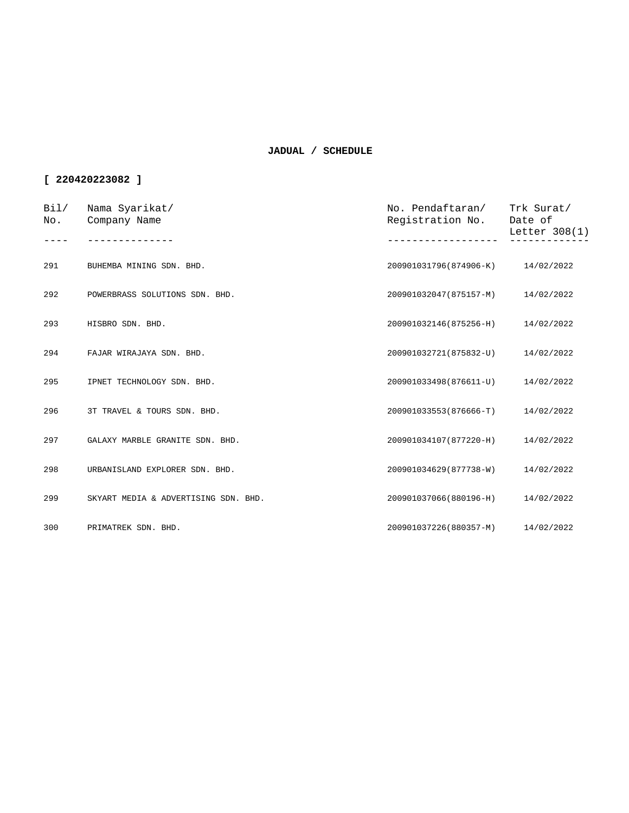| Bi1/<br>No. | Nama Syarikat/<br>Company Name       | No. Pendaftaran/<br>Registration No. | Trk Surat/<br>Date of<br>Letter 308(1) |
|-------------|--------------------------------------|--------------------------------------|----------------------------------------|
| 291         | BUHEMBA MINING SDN. BHD.             | 200901031796(874906-K)               | 14/02/2022                             |
| 292         | POWERBRASS SOLUTIONS SDN. BHD.       | 200901032047(875157-M)               | 14/02/2022                             |
| 293         | HISBRO SDN. BHD.                     | 200901032146(875256-H)               | 14/02/2022                             |
| 294         | FAJAR WIRAJAYA SDN. BHD.             | 200901032721(875832-U)               | 14/02/2022                             |
| 295         | IPNET TECHNOLOGY SDN. BHD.           | 200901033498(876611-U)               | 14/02/2022                             |
| 296         | 3T TRAVEL & TOURS SDN. BHD.          | 200901033553(876666-T)               | 14/02/2022                             |
| 297         | GALAXY MARBLE GRANITE SDN. BHD.      | 200901034107(877220-H)               | 14/02/2022                             |
| 298         | URBANISLAND EXPLORER SDN. BHD.       | 200901034629(877738-W)               | 14/02/2022                             |
| 299         | SKYART MEDIA & ADVERTISING SDN. BHD. | 200901037066(880196-H)               | 14/02/2022                             |
| 300         | PRIMATREK SDN. BHD.                  | 200901037226(880357-M)               | 14/02/2022                             |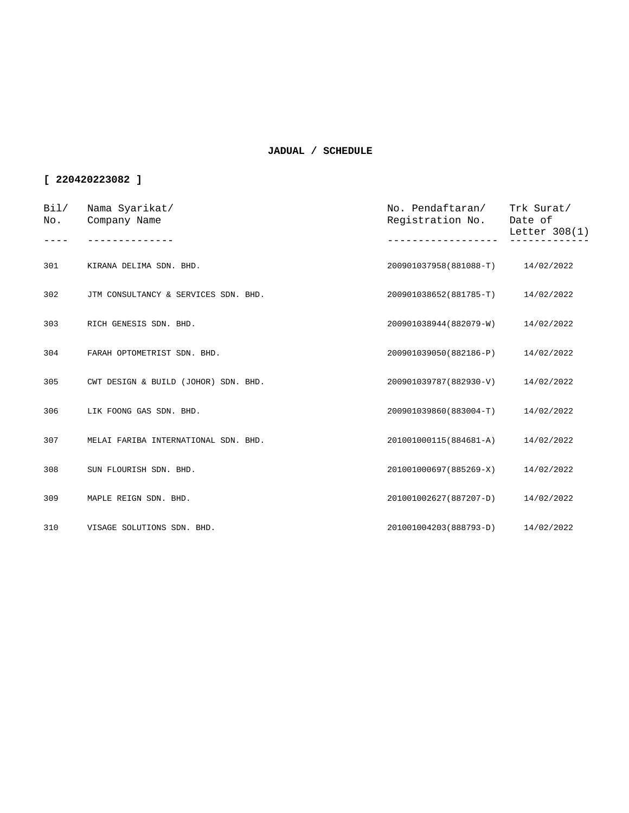| Bi1/<br>No. | Nama Syarikat/<br>Company Name       | No. Pendaftaran/<br>Registration No. | Trk Surat/<br>Date of<br>Letter 308(1) |
|-------------|--------------------------------------|--------------------------------------|----------------------------------------|
|             |                                      |                                      |                                        |
| 301         | KIRANA DELIMA SDN. BHD.              | 200901037958(881088-T)               | 14/02/2022                             |
| 302         | JTM CONSULTANCY & SERVICES SDN. BHD. | 200901038652(881785-T)               | 14/02/2022                             |
| 303         | RICH GENESIS SDN. BHD.               | 200901038944(882079-W)               | 14/02/2022                             |
| 304         | FARAH OPTOMETRIST SDN. BHD.          | 200901039050(882186-P)               | 14/02/2022                             |
| 305         | CWT DESIGN & BUILD (JOHOR) SDN. BHD. | 200901039787(882930-V)               | 14/02/2022                             |
| 306         | LIK FOONG GAS SDN. BHD.              | 200901039860(883004-T)               | 14/02/2022                             |
| 307         | MELAI FARIBA INTERNATIONAL SDN. BHD. | 201001000115(884681-A)               | 14/02/2022                             |
| 308         | SUN FLOURISH SDN. BHD.               | 201001000697(885269-X)               | 14/02/2022                             |
| 309         | MAPLE REIGN SDN. BHD.                | 201001002627(887207-D)               | 14/02/2022                             |
| 310         | VISAGE SOLUTIONS SDN. BHD.           | 201001004203(888793-D)               | 14/02/2022                             |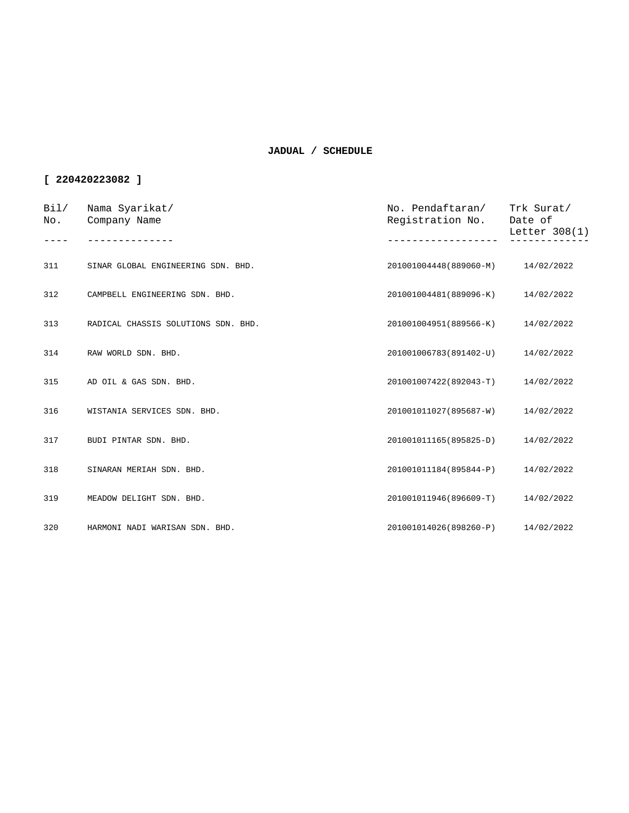| Bi1/<br>No. | Nama Syarikat/<br>Company Name      | No. Pendaftaran/<br>Registration No. | Trk Surat/<br>Date of<br>Letter $308(1)$ |
|-------------|-------------------------------------|--------------------------------------|------------------------------------------|
|             |                                     |                                      |                                          |
| 311         | SINAR GLOBAL ENGINEERING SDN. BHD.  | 201001004448(889060-M) 14/02/2022    |                                          |
| 312         | CAMPBELL ENGINEERING SDN. BHD.      | 201001004481(889096-K)               | 14/02/2022                               |
| 313         | RADICAL CHASSIS SOLUTIONS SDN. BHD. | 201001004951(889566-K)               | 14/02/2022                               |
| 314         | RAW WORLD SDN. BHD.                 | 201001006783(891402-U)               | 14/02/2022                               |
| 315         | AD OIL & GAS SDN. BHD.              | 201001007422(892043-T)               | 14/02/2022                               |
| 316         | WISTANIA SERVICES SDN. BHD.         | 201001011027(895687-W)               | 14/02/2022                               |
| 317         | BUDI PINTAR SDN. BHD.               | 201001011165(895825-D)               | 14/02/2022                               |
| 318         | SINARAN MERIAH SDN. BHD.            | 201001011184(895844-P)               | 14/02/2022                               |
| 319         | MEADOW DELIGHT SDN. BHD.            | 201001011946(896609-T)               | 14/02/2022                               |
| 320         | HARMONI NADI WARISAN SDN. BHD.      | 201001014026(898260-P)               | 14/02/2022                               |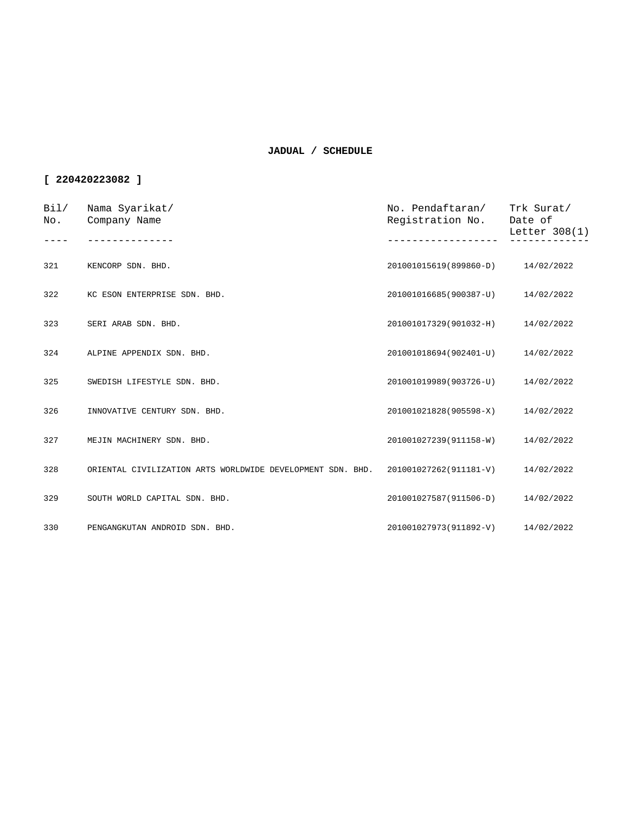| Bi1/<br>No. | Nama Syarikat/<br>Company Name                             | No. Pendaftaran/<br>Registration No. | Trk Surat/<br>Date of<br>Letter $308(1)$ |
|-------------|------------------------------------------------------------|--------------------------------------|------------------------------------------|
|             |                                                            |                                      |                                          |
| 321         | KENCORP SDN. BHD.                                          | 201001015619(899860-D)               | 14/02/2022                               |
| 322         | KC ESON ENTERPRISE SDN. BHD.                               | 201001016685(900387-U)               | 14/02/2022                               |
| 323         | SERI ARAB SDN. BHD.                                        | 201001017329(901032-H)               | 14/02/2022                               |
| 324         | ALPINE APPENDIX SDN. BHD.                                  | 201001018694(902401-U)               | 14/02/2022                               |
| 325         | SWEDISH LIFESTYLE SDN. BHD.                                | 201001019989(903726-U)               | 14/02/2022                               |
| 326         | INNOVATIVE CENTURY SDN. BHD.                               | 201001021828(905598-X)               | 14/02/2022                               |
| 327         | MEJIN MACHINERY SDN. BHD.                                  | 201001027239(911158-W)               | 14/02/2022                               |
| 328         | ORIENTAL CIVILIZATION ARTS WORLDWIDE DEVELOPMENT SDN. BHD. | 201001027262(911181-V)               | 14/02/2022                               |
| 329         | SOUTH WORLD CAPITAL SDN. BHD.                              | 201001027587(911506-D)               | 14/02/2022                               |
| 330         | PENGANGKUTAN ANDROID SDN. BHD.                             | 201001027973(911892-V)               | 14/02/2022                               |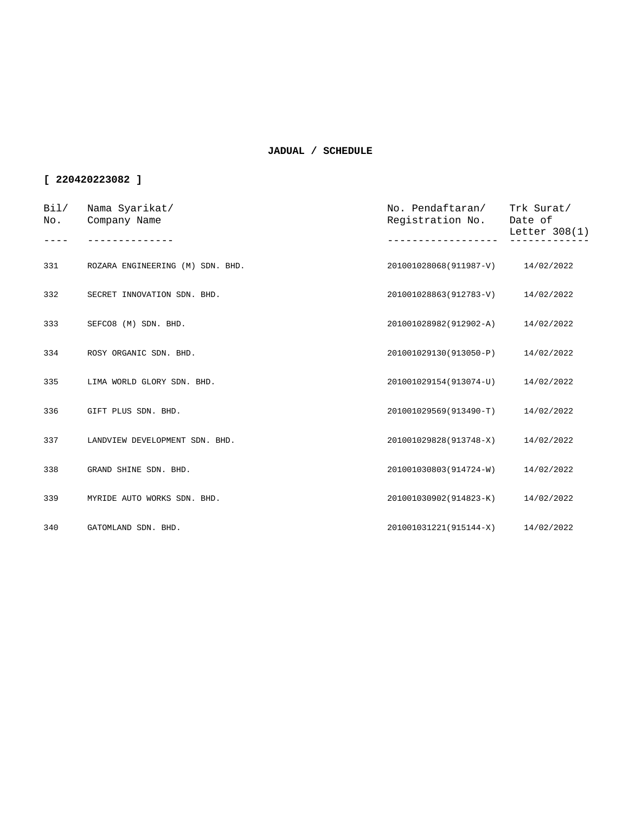| Bi1/<br>No. | Nama Syarikat/<br>Company Name   | No. Pendaftaran/<br>Registration No. | Trk Surat/<br>Date of<br>Letter $308(1)$ |
|-------------|----------------------------------|--------------------------------------|------------------------------------------|
| 331         | ROZARA ENGINEERING (M) SDN. BHD. | 201001028068(911987-V)               | 14/02/2022                               |
| 332         | SECRET INNOVATION SDN. BHD.      | 201001028863(912783-V)               | 14/02/2022                               |
| 333         | SEFCO8 (M) SDN. BHD.             | 201001028982(912902-A)               | 14/02/2022                               |
| 334         | ROSY ORGANIC SDN. BHD.           | 201001029130(913050-P)               | 14/02/2022                               |
| 335         | LIMA WORLD GLORY SDN. BHD.       | 201001029154(913074-U)               | 14/02/2022                               |
| 336         | GIFT PLUS SDN. BHD.              | 201001029569(913490-T)               | 14/02/2022                               |
| 337         | LANDVIEW DEVELOPMENT SDN. BHD.   | 201001029828(913748-X)               | 14/02/2022                               |
| 338         | GRAND SHINE SDN. BHD.            | 201001030803(914724-W)               | 14/02/2022                               |
| 339         | MYRIDE AUTO WORKS SDN. BHD.      | 201001030902(914823-K)               | 14/02/2022                               |
| 340         | GATOMLAND SDN. BHD.              | 201001031221(915144-X) 14/02/2022    |                                          |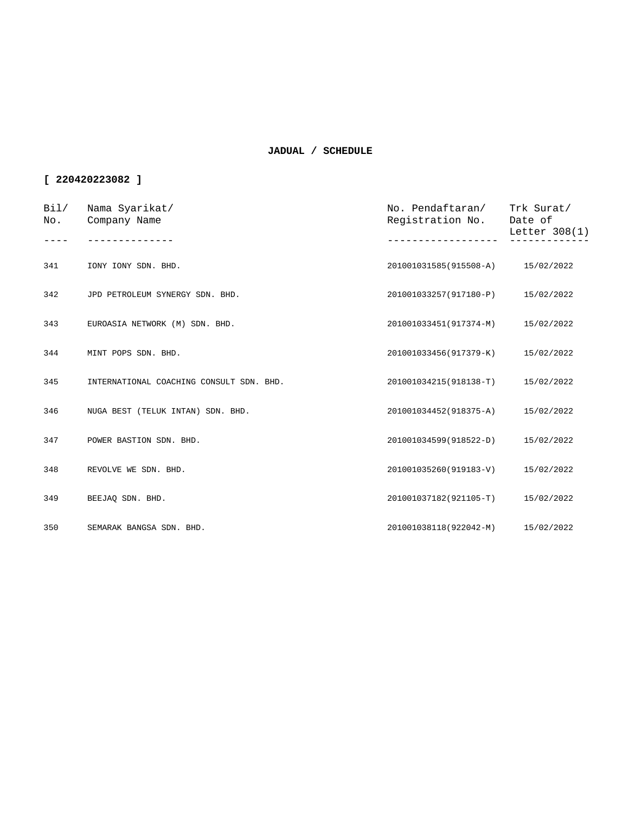| Bil/<br>No. | Nama Syarikat/<br>Company Name           | No. Pendaftaran/<br>Registration No. | Trk Surat/<br>Date of<br>Letter 308(1) |
|-------------|------------------------------------------|--------------------------------------|----------------------------------------|
| 341         | IONY IONY SDN. BHD.                      | 201001031585(915508-A) 15/02/2022    |                                        |
|             |                                          |                                      |                                        |
| 342         | JPD PETROLEUM SYNERGY SDN. BHD.          | 201001033257(917180-P)               | 15/02/2022                             |
| 343         | EUROASIA NETWORK (M) SDN. BHD.           | 201001033451(917374-M)               | 15/02/2022                             |
| 344         | MINT POPS SDN. BHD.                      | 201001033456(917379-K)               | 15/02/2022                             |
| 345         | INTERNATIONAL COACHING CONSULT SDN. BHD. | 201001034215(918138-T)               | 15/02/2022                             |
| 346         | NUGA BEST (TELUK INTAN) SDN. BHD.        | 201001034452(918375-A)               | 15/02/2022                             |
| 347         | POWER BASTION SDN. BHD.                  | 201001034599(918522-D)               | 15/02/2022                             |
| 348         | REVOLVE WE SDN. BHD.                     | 201001035260(919183-V)               | 15/02/2022                             |
| 349         | BEEJAQ SDN. BHD.                         | 201001037182(921105-T)               | 15/02/2022                             |
| 350         | SEMARAK BANGSA SDN. BHD.                 | 201001038118(922042-M)               | 15/02/2022                             |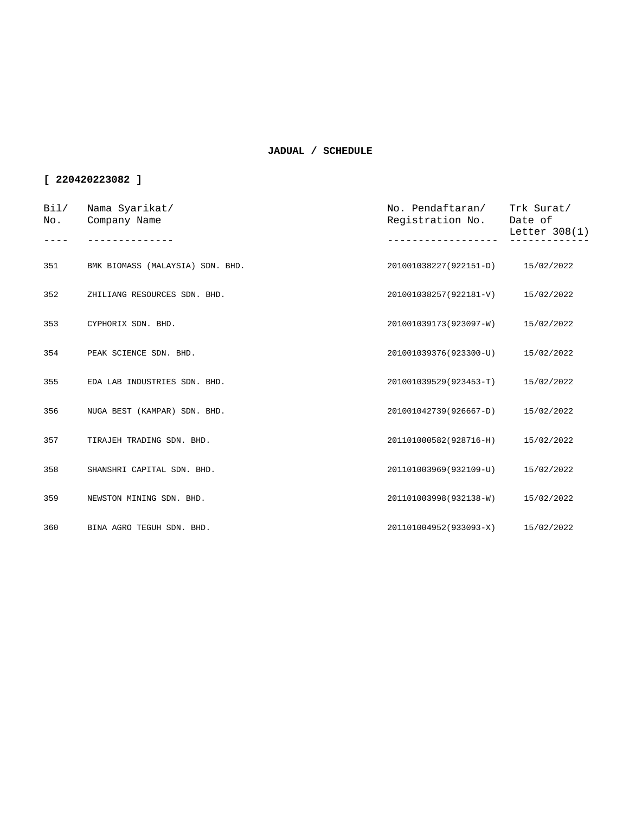| Bi1/<br>No. | Nama Syarikat/<br>Company Name   | No. Pendaftaran/<br>Registration No. | Trk Surat/<br>Date of<br>Letter $308(1)$ |
|-------------|----------------------------------|--------------------------------------|------------------------------------------|
|             |                                  |                                      |                                          |
| 351         | BMK BIOMASS (MALAYSIA) SDN. BHD. | 201001038227(922151-D)               | 15/02/2022                               |
| 352         | ZHILIANG RESOURCES SDN. BHD.     | 201001038257(922181-V)               | 15/02/2022                               |
| 353         | CYPHORIX SDN. BHD.               | 201001039173(923097-W)               | 15/02/2022                               |
| 354         | PEAK SCIENCE SDN. BHD.           | 201001039376(923300-U)               | 15/02/2022                               |
| 355         | EDA LAB INDUSTRIES SDN. BHD.     | 201001039529(923453-T)               | 15/02/2022                               |
| 356         | NUGA BEST (KAMPAR) SDN. BHD.     | 201001042739(926667-D)               | 15/02/2022                               |
| 357         | TIRAJEH TRADING SDN. BHD.        | 201101000582(928716-H)               | 15/02/2022                               |
| 358         | SHANSHRI CAPITAL SDN. BHD.       | 201101003969(932109-U)               | 15/02/2022                               |
| 359         | NEWSTON MINING SDN. BHD.         | 201101003998(932138-W)               | 15/02/2022                               |
| 360         | BINA AGRO TEGUH SDN. BHD.        | 201101004952(933093-X)               | 15/02/2022                               |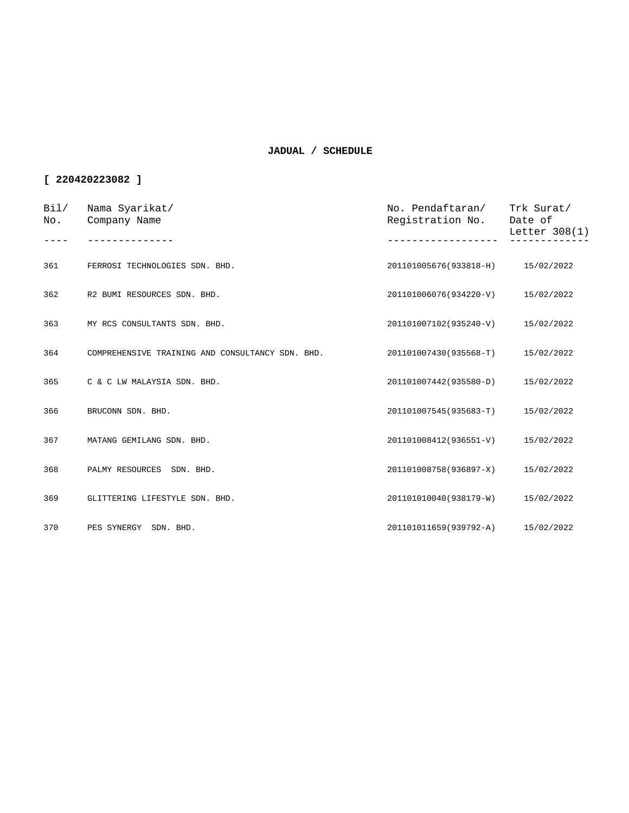| Bil/<br>No. | Nama Syarikat/<br>Company Name                   | No. Pendaftaran/<br>Registration No. | Trk Surat/<br>Date of<br>Letter 308(1) |
|-------------|--------------------------------------------------|--------------------------------------|----------------------------------------|
|             |                                                  |                                      |                                        |
| 361         | FERROSI TECHNOLOGIES SDN. BHD.                   | 201101005676(933818-H) 15/02/2022    |                                        |
| 362         | R2 BUMI RESOURCES SDN. BHD.                      | 201101006076(934220-V)               | 15/02/2022                             |
| 363         | MY RCS CONSULTANTS SDN. BHD.                     | 201101007102(935240-V)               | 15/02/2022                             |
| 364         | COMPREHENSIVE TRAINING AND CONSULTANCY SDN. BHD. | 201101007430(935568-T)               | 15/02/2022                             |
| 365         | C & C LW MALAYSIA SDN. BHD.                      | 201101007442(935580-D)               | 15/02/2022                             |
| 366         | BRUCONN SDN. BHD.                                | 201101007545(935683-T)               | 15/02/2022                             |
| 367         | MATANG GEMILANG SDN. BHD.                        | 201101008412(936551-V)               | 15/02/2022                             |
| 368         | PALMY RESOURCES SDN. BHD.                        | 201101008758(936897-X)               | 15/02/2022                             |
| 369         | GLITTERING LIFESTYLE SDN. BHD.                   | 201101010040(938179-W)               | 15/02/2022                             |
| 370         | PES SYNERGY SDN. BHD.                            | 201101011659(939792-A)               | 15/02/2022                             |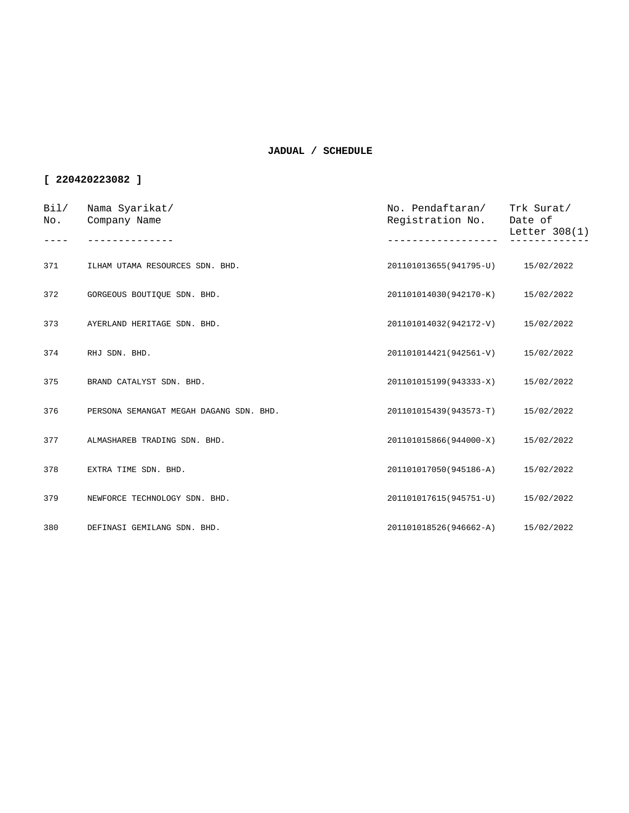| Bi1/<br>No. | Nama Syarikat/<br>Company Name          | No. Pendaftaran/<br>Registration No. | Trk Surat/<br>Date of<br>Letter $308(1)$ |
|-------------|-----------------------------------------|--------------------------------------|------------------------------------------|
|             |                                         |                                      |                                          |
| 371         | ILHAM UTAMA RESOURCES SDN. BHD.         | 201101013655(941795-U) 15/02/2022    |                                          |
| 372         | GORGEOUS BOUTIQUE SDN. BHD.             | 201101014030(942170-K)               | 15/02/2022                               |
| 373         | AYERLAND HERITAGE SDN. BHD.             | 201101014032(942172-V)               | 15/02/2022                               |
| 374         | RHJ SDN. BHD.                           | 201101014421(942561-V)               | 15/02/2022                               |
| 375         | BRAND CATALYST SDN. BHD.                | 201101015199(943333-X)               | 15/02/2022                               |
| 376         | PERSONA SEMANGAT MEGAH DAGANG SDN. BHD. | 201101015439(943573-T)               | 15/02/2022                               |
| 377         | ALMASHAREB TRADING SDN. BHD.            | 201101015866(944000-X)               | 15/02/2022                               |
| 378         | EXTRA TIME SDN. BHD.                    | 201101017050(945186-A)               | 15/02/2022                               |
| 379         | NEWFORCE TECHNOLOGY SDN. BHD.           | 201101017615(945751-U)               | 15/02/2022                               |
| 380         | DEFINASI GEMILANG SDN. BHD.             | 201101018526(946662-A)               | 15/02/2022                               |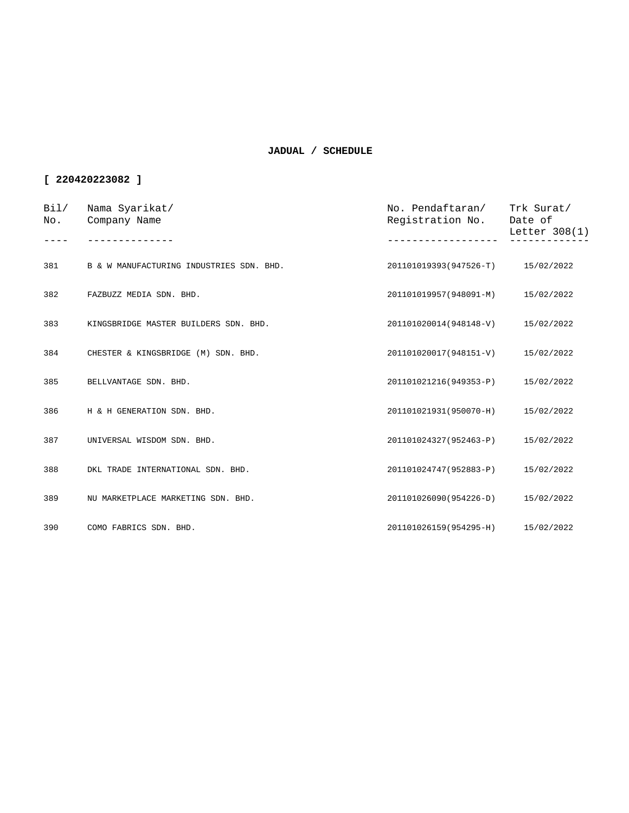| Bil/<br>No. | Nama Syarikat/<br>Company Name           | No. Pendaftaran/<br>Registration No. | Trk Surat/<br>Date of<br>Letter 308(1) |
|-------------|------------------------------------------|--------------------------------------|----------------------------------------|
|             |                                          |                                      |                                        |
| 381         | B & W MANUFACTURING INDUSTRIES SDN. BHD. | 201101019393(947526-T) 15/02/2022    |                                        |
| 382         | FAZBUZZ MEDIA SDN. BHD.                  | 201101019957(948091-M)               | 15/02/2022                             |
| 383         | KINGSBRIDGE MASTER BUILDERS SDN. BHD.    | 201101020014(948148-V)               | 15/02/2022                             |
| 384         | CHESTER & KINGSBRIDGE (M) SDN. BHD.      | 201101020017(948151-V)               | 15/02/2022                             |
| 385         | BELLVANTAGE SDN. BHD.                    | 201101021216(949353-P)               | 15/02/2022                             |
| 386         | H & H GENERATION SDN. BHD.               | 201101021931(950070-H)               | 15/02/2022                             |
| 387         | UNIVERSAL WISDOM SDN. BHD.               | 201101024327(952463-P)               | 15/02/2022                             |
| 388         | DKL TRADE INTERNATIONAL SDN. BHD.        | 201101024747(952883-P)               | 15/02/2022                             |
| 389         | NU MARKETPLACE MARKETING SDN. BHD.       | 201101026090(954226-D)               | 15/02/2022                             |
| 390         | COMO FABRICS SDN. BHD.                   | 201101026159(954295-H)               | 15/02/2022                             |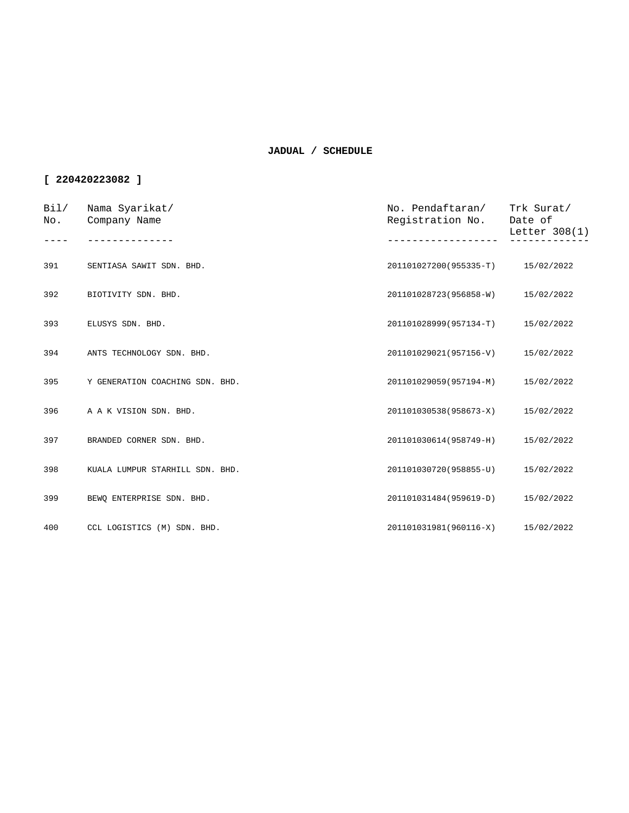| Bi1/<br>No. | Nama Syarikat/<br>Company Name  | No. Pendaftaran/<br>Registration No. | Trk Surat/<br>Date of<br>Letter 308(1) |
|-------------|---------------------------------|--------------------------------------|----------------------------------------|
|             |                                 |                                      |                                        |
| 391         | SENTIASA SAWIT SDN. BHD.        | 201101027200(955335-T) 15/02/2022    |                                        |
| 392         | BIOTIVITY SDN. BHD.             | 201101028723(956858-W)               | 15/02/2022                             |
| 393         | ELUSYS SDN. BHD.                | 201101028999(957134-T)               | 15/02/2022                             |
| 394         | ANTS TECHNOLOGY SDN. BHD.       | 201101029021(957156-V)               | 15/02/2022                             |
| 395         | Y GENERATION COACHING SDN. BHD. | 201101029059(957194-M)               | 15/02/2022                             |
| 396         | A A K VISION SDN. BHD.          | 201101030538(958673-X)               | 15/02/2022                             |
| 397         | BRANDED CORNER SDN. BHD.        | 201101030614(958749-H)               | 15/02/2022                             |
| 398         | KUALA LUMPUR STARHILL SDN. BHD. | 201101030720(958855-U)               | 15/02/2022                             |
| 399         | BEWQ ENTERPRISE SDN. BHD.       | 201101031484(959619-D)               | 15/02/2022                             |
| 400         | CCL LOGISTICS (M) SDN. BHD.     | 201101031981(960116-X)               | 15/02/2022                             |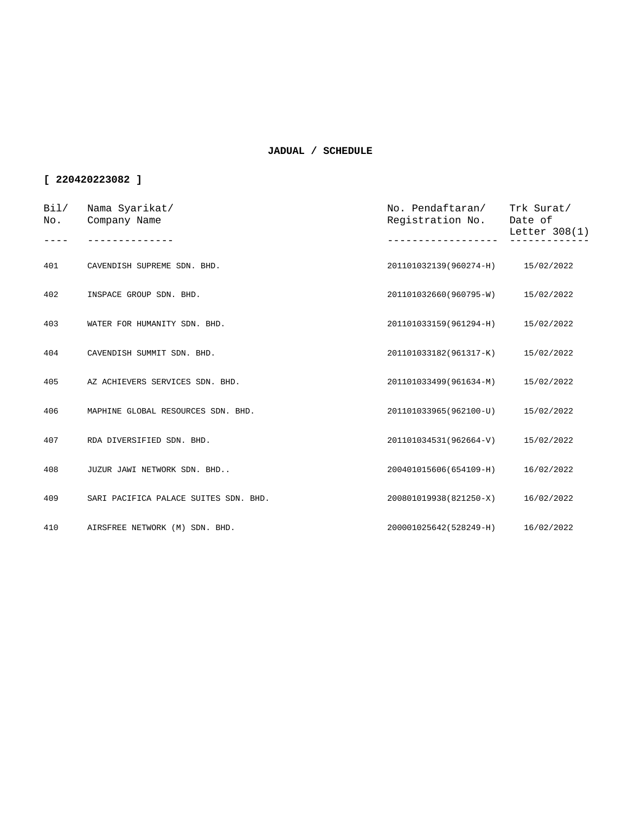| Bi1/<br>No. | Nama Syarikat/<br>Company Name        | No. Pendaftaran/ Trk Surat/<br>Registration No. | Date of<br>Letter 308(1) |
|-------------|---------------------------------------|-------------------------------------------------|--------------------------|
|             |                                       |                                                 |                          |
| 401         | CAVENDISH SUPREME SDN. BHD.           | 201101032139(960274-H) 15/02/2022               |                          |
| 402         | INSPACE GROUP SDN. BHD.               | 201101032660(960795-W)                          | 15/02/2022               |
| 403         | WATER FOR HUMANITY SDN. BHD.          | 201101033159(961294-H)                          | 15/02/2022               |
| 404         | CAVENDISH SUMMIT SDN. BHD.            | 201101033182(961317-K)                          | 15/02/2022               |
| 405         | AZ ACHIEVERS SERVICES SDN. BHD.       | 201101033499(961634-M)                          | 15/02/2022               |
| 406         | MAPHINE GLOBAL RESOURCES SDN. BHD.    | 201101033965(962100-U)                          | 15/02/2022               |
| 407         | RDA DIVERSIFIED SDN. BHD.             | 201101034531(962664-V)                          | 15/02/2022               |
| 408         | JUZUR JAWI NETWORK SDN. BHD           | 200401015606(654109-H)                          | 16/02/2022               |
| 409         | SARI PACIFICA PALACE SUITES SDN. BHD. | 200801019938(821250-X)                          | 16/02/2022               |
| 410         | AIRSFREE NETWORK (M) SDN. BHD.        | 200001025642(528249-H)                          | 16/02/2022               |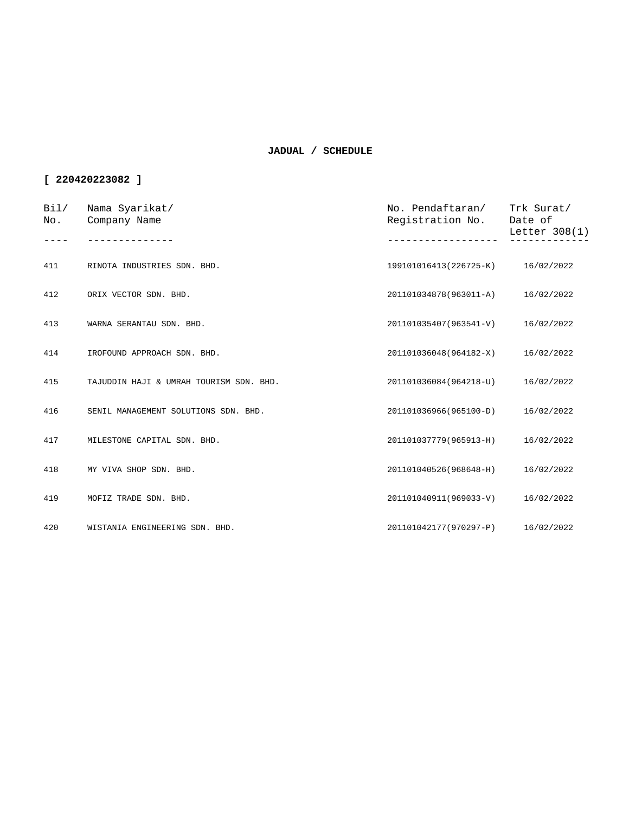| Bil/<br>No. | Nama Syarikat/<br>Company Name          | No. Pendaftaran/<br>Registration No. | Trk Surat/<br>Date of<br>Letter 308(1) |
|-------------|-----------------------------------------|--------------------------------------|----------------------------------------|
|             |                                         |                                      |                                        |
| 411         | RINOTA INDUSTRIES SDN. BHD.             | 199101016413(226725-K) 16/02/2022    |                                        |
| 412         | ORIX VECTOR SDN. BHD.                   | 201101034878(963011-A) 16/02/2022    |                                        |
| 413         | WARNA SERANTAU SDN. BHD.                | 201101035407(963541-V)               | 16/02/2022                             |
| 414         | IROFOUND APPROACH SDN. BHD.             | 201101036048(964182-X)               | 16/02/2022                             |
| 415         | TAJUDDIN HAJI & UMRAH TOURISM SDN. BHD. | 201101036084(964218-U)               | 16/02/2022                             |
| 416         | SENIL MANAGEMENT SOLUTIONS SDN. BHD.    | 201101036966(965100-D)               | 16/02/2022                             |
| 417         | MILESTONE CAPITAL SDN. BHD.             | 201101037779(965913-H)               | 16/02/2022                             |
| 418         | MY VIVA SHOP SDN. BHD.                  | 201101040526(968648-H)               | 16/02/2022                             |
| 419         | MOFIZ TRADE SDN. BHD.                   | 201101040911(969033-V)               | 16/02/2022                             |
| 420         | WISTANIA ENGINEERING SDN. BHD.          | 201101042177(970297-P)               | 16/02/2022                             |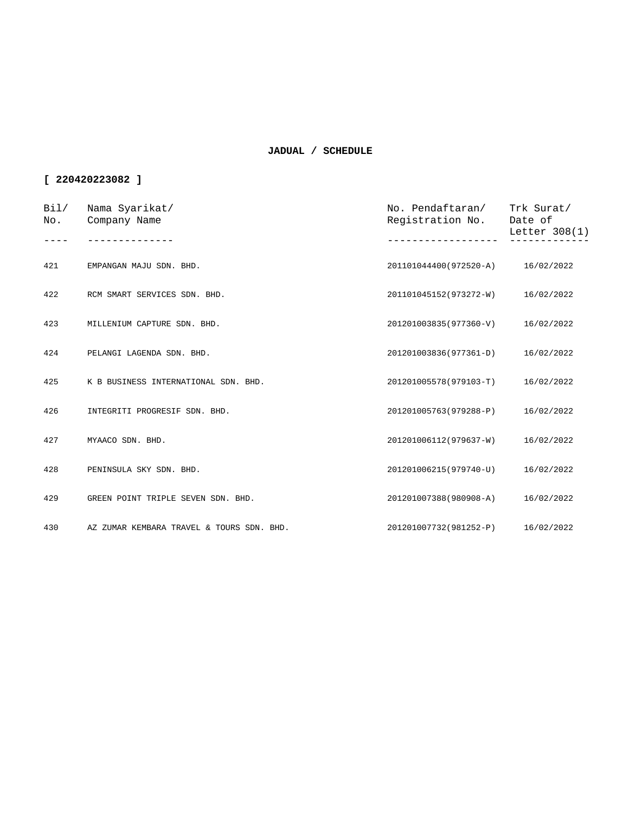| Bi1/<br>No. | Nama Syarikat/<br>Company Name            | No. Pendaftaran/<br>Registration No. | Trk Surat/<br>Date of<br>Letter 308(1) |
|-------------|-------------------------------------------|--------------------------------------|----------------------------------------|
|             |                                           |                                      |                                        |
| 421         | EMPANGAN MAJU SDN. BHD.                   | 201101044400(972520-A) 16/02/2022    |                                        |
| 422         | RCM SMART SERVICES SDN. BHD.              | 201101045152(973272-W)               | 16/02/2022                             |
| 423         | MILLENIUM CAPTURE SDN. BHD.               | 201201003835(977360-V)               | 16/02/2022                             |
| 424         | PELANGI LAGENDA SDN. BHD.                 | 201201003836(977361-D)               | 16/02/2022                             |
| 425         | K B BUSINESS INTERNATIONAL SDN. BHD.      | 201201005578(979103-T)               | 16/02/2022                             |
| 426         | INTEGRITI PROGRESIF SDN. BHD.             | 201201005763(979288-P)               | 16/02/2022                             |
| 427         | MYAACO SDN. BHD.                          | 201201006112(979637-W)               | 16/02/2022                             |
| 428         | PENINSULA SKY SDN. BHD.                   | 201201006215(979740-U)               | 16/02/2022                             |
| 429         | GREEN POINT TRIPLE SEVEN SDN. BHD.        | 201201007388(980908-A)               | 16/02/2022                             |
| 430         | AZ ZUMAR KEMBARA TRAVEL & TOURS SDN. BHD. | 201201007732(981252-P)               | 16/02/2022                             |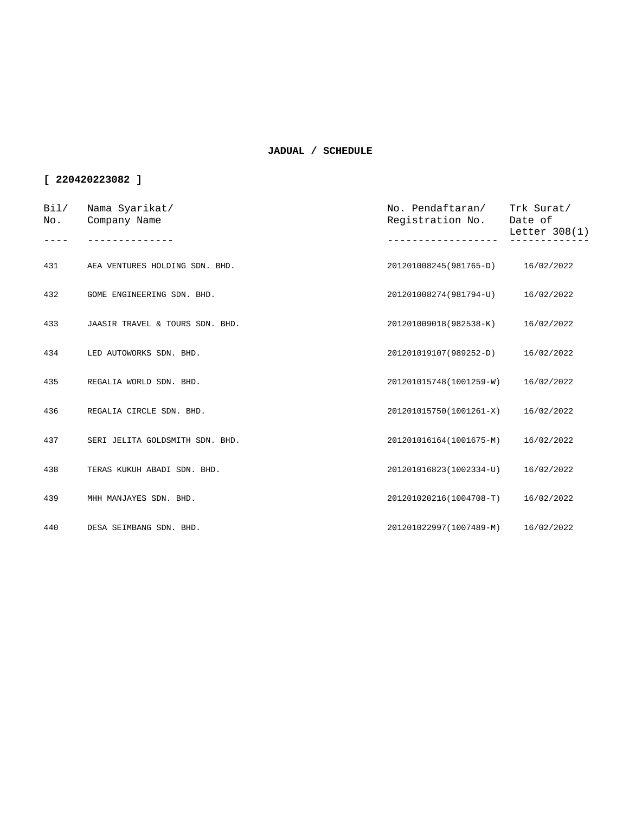| Bi1/<br>No. | Nama Syarikat/<br>Company Name  | No. Pendaftaran/<br>Registration No. | Trk Surat/<br>Date of<br>Letter $308(1)$ |
|-------------|---------------------------------|--------------------------------------|------------------------------------------|
|             |                                 |                                      |                                          |
| 431         | AEA VENTURES HOLDING SDN. BHD.  | 201201008245(981765-D)               | 16/02/2022                               |
| 432         | GOME ENGINEERING SDN. BHD.      | 201201008274(981794-U)               | 16/02/2022                               |
| 433         | JAASIR TRAVEL & TOURS SDN. BHD. | 201201009018(982538-K)               | 16/02/2022                               |
| 434         | LED AUTOWORKS SDN. BHD.         | 201201019107(989252-D)               | 16/02/2022                               |
| 435         | REGALIA WORLD SDN. BHD.         | 201201015748(1001259-W)              | 16/02/2022                               |
| 436         | REGALIA CIRCLE SDN. BHD.        | 201201015750(1001261-X)              | 16/02/2022                               |
| 437         | SERI JELITA GOLDSMITH SDN. BHD. | 201201016164(1001675-M)              | 16/02/2022                               |
| 438         | TERAS KUKUH ABADI SDN. BHD.     | 201201016823(1002334-U)              | 16/02/2022                               |
| 439         | MHH MANJAYES SDN. BHD.          | 201201020216(1004708-T)              | 16/02/2022                               |
| 440         | DESA SEIMBANG SDN. BHD.         | 201201022997(1007489-M)              | 16/02/2022                               |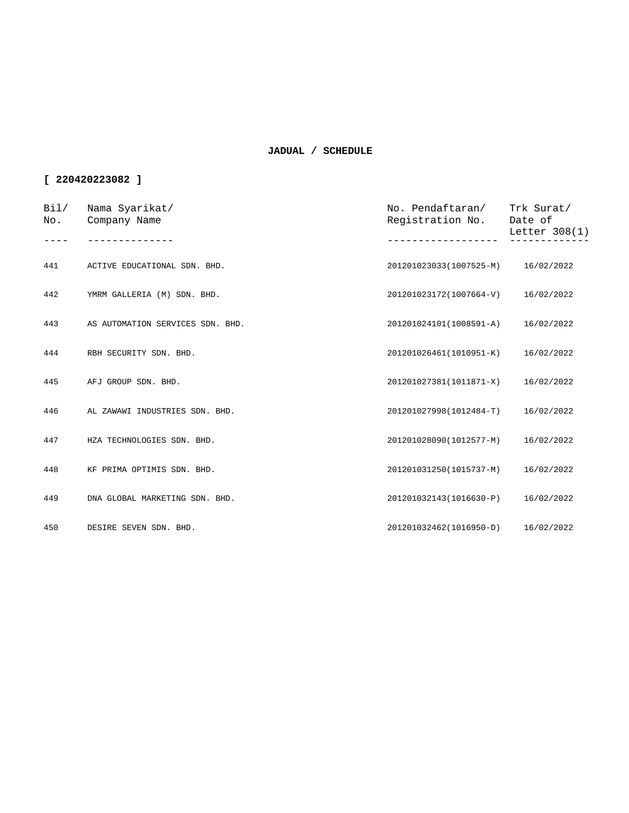| Bi1/<br>No. | Nama Syarikat/<br>Company Name   | No. Pendaftaran/<br>Registration No. | Trk Surat/<br>Date of<br>Letter $308(1)$ |
|-------------|----------------------------------|--------------------------------------|------------------------------------------|
|             |                                  |                                      |                                          |
| 441         | ACTIVE EDUCATIONAL SDN. BHD.     | 201201023033(1007525-M) 16/02/2022   |                                          |
| 442         | YMRM GALLERIA (M) SDN. BHD.      | 201201023172(1007664-V) 16/02/2022   |                                          |
| 443         | AS AUTOMATION SERVICES SDN. BHD. | 201201024101(1008591-A) 16/02/2022   |                                          |
| 444         | RBH SECURITY SDN. BHD.           | 201201026461(1010951-K)              | 16/02/2022                               |
| 445         | AFJ GROUP SDN. BHD.              | 201201027381(1011871-X)              | 16/02/2022                               |
| 446         | AL ZAWAWI INDUSTRIES SDN. BHD.   | 201201027998(1012484-T)              | 16/02/2022                               |
| 447         | HZA TECHNOLOGIES SDN. BHD.       | 201201028090(1012577-M)              | 16/02/2022                               |
| 448         | KF PRIMA OPTIMIS SDN. BHD.       | 201201031250(1015737-M)              | 16/02/2022                               |
| 449         | DNA GLOBAL MARKETING SDN. BHD.   | 201201032143(1016630-P)              | 16/02/2022                               |
| 450         | DESIRE SEVEN SDN. BHD.           | 201201032462(1016950-D) 16/02/2022   |                                          |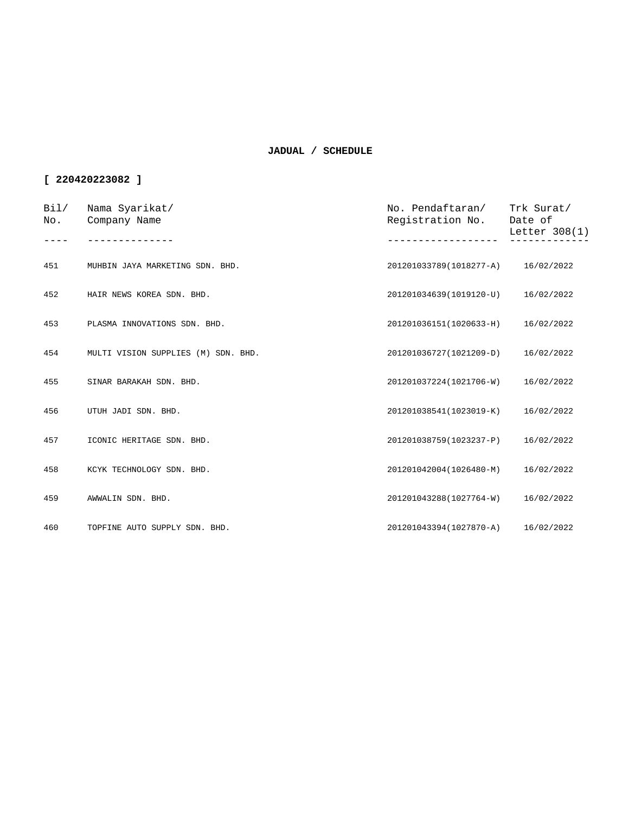| Bi1/<br>No. | Nama Syarikat/<br>Company Name      | No. Pendaftaran/<br>Registration No. | Trk Surat/<br>Date of<br>Letter 308(1) |
|-------------|-------------------------------------|--------------------------------------|----------------------------------------|
|             |                                     |                                      |                                        |
| 451         | MUHBIN JAYA MARKETING SDN. BHD.     | 201201033789(1018277-A) 16/02/2022   |                                        |
| 452         | HAIR NEWS KOREA SDN. BHD.           | 201201034639(1019120-U)              | 16/02/2022                             |
| 453         | PLASMA INNOVATIONS SDN. BHD.        | 201201036151(1020633-H)              | 16/02/2022                             |
| 454         | MULTI VISION SUPPLIES (M) SDN. BHD. | 201201036727(1021209-D)              | 16/02/2022                             |
| 455         | SINAR BARAKAH SDN. BHD.             | 201201037224(1021706-W)              | 16/02/2022                             |
| 456         | UTUH JADI SDN. BHD.                 | 201201038541(1023019-K)              | 16/02/2022                             |
| 457         | ICONIC HERITAGE SDN. BHD.           | 201201038759(1023237-P)              | 16/02/2022                             |
| 458         | KCYK TECHNOLOGY SDN. BHD.           | 201201042004(1026480-M)              | 16/02/2022                             |
| 459         | AWWALIN SDN. BHD.                   | 201201043288(1027764-W)              | 16/02/2022                             |
| 460         | TOPFINE AUTO SUPPLY SDN. BHD.       | 201201043394(1027870-A)              | 16/02/2022                             |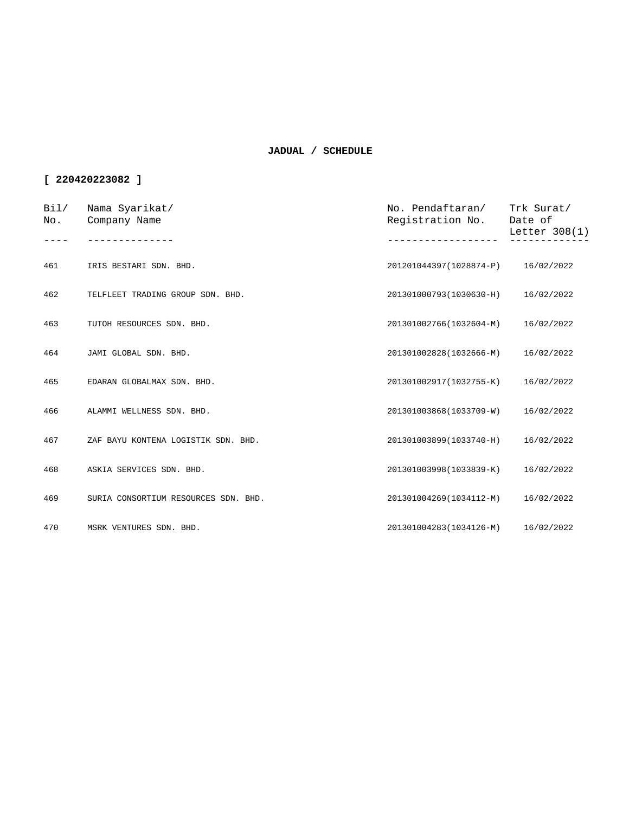| Bil/<br>No. | Nama Syarikat/<br>Company Name       | No. Pendaftaran/<br>Registration No. Date of | Trk Surat/<br>Letter $308(1)$ |
|-------------|--------------------------------------|----------------------------------------------|-------------------------------|
| 461         | IRIS BESTARI SDN. BHD.               | 201201044397(1028874-P) 16/02/2022           |                               |
|             |                                      |                                              |                               |
| 462         | TELFLEET TRADING GROUP SDN. BHD.     | 201301000793(1030630-H) 16/02/2022           |                               |
| 463         | TUTOH RESOURCES SDN. BHD.            | 201301002766(1032604-M)                      | 16/02/2022                    |
| 464         | JAMI GLOBAL SDN. BHD.                | 201301002828(1032666-M)                      | 16/02/2022                    |
| 465         | EDARAN GLOBALMAX SDN. BHD.           | 201301002917(1032755-K)                      | 16/02/2022                    |
| 466         | ALAMMI WELLNESS SDN. BHD.            | 201301003868(1033709-W)                      | 16/02/2022                    |
| 467         | ZAF BAYU KONTENA LOGISTIK SDN. BHD.  | 201301003899(1033740-H)                      | 16/02/2022                    |
| 468         | ASKIA SERVICES SDN. BHD.             | 201301003998(1033839-K)                      | 16/02/2022                    |
| 469         | SURIA CONSORTIUM RESOURCES SDN. BHD. | 201301004269(1034112-M)                      | 16/02/2022                    |
| 470         | MSRK VENTURES SDN. BHD.              | 201301004283(1034126-M) 16/02/2022           |                               |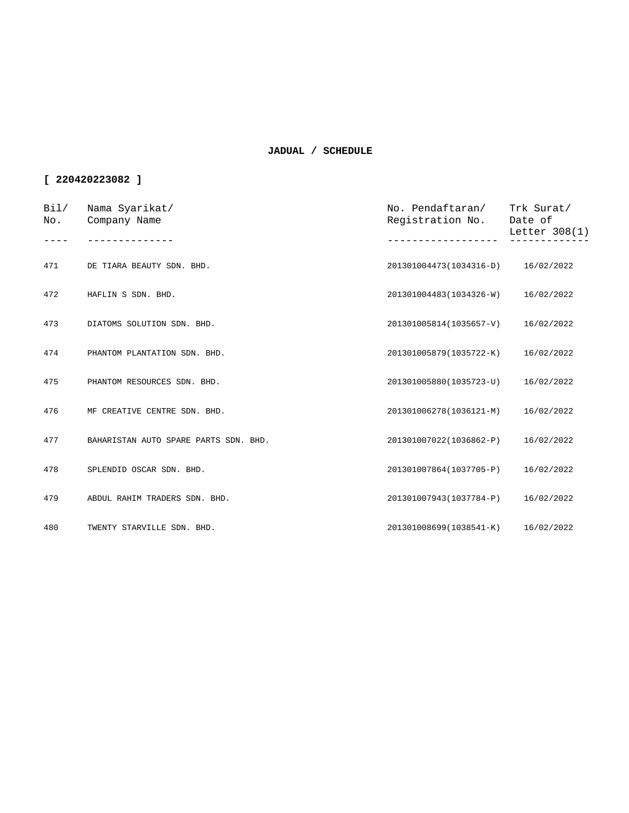| Bi1/<br>No. | Nama Syarikat/<br>Company Name        | No. Pendaftaran/<br>Registration No. | Trk Surat/<br>Date of<br>Letter $308(1)$ |
|-------------|---------------------------------------|--------------------------------------|------------------------------------------|
|             |                                       |                                      |                                          |
| 471         | DE TIARA BEAUTY SDN. BHD.             | 201301004473(1034316-D) 16/02/2022   |                                          |
| 472         | HAFLIN S SDN. BHD.                    | 201301004483(1034326-W)              | 16/02/2022                               |
| 473         | DIATOMS SOLUTION SDN. BHD.            | 201301005814(1035657-V)              | 16/02/2022                               |
| 474         | PHANTOM PLANTATION SDN. BHD.          | 201301005879(1035722-K)              | 16/02/2022                               |
| 475         | PHANTOM RESOURCES SDN. BHD.           | 201301005880(1035723-U)              | 16/02/2022                               |
| 476         | MF CREATIVE CENTRE SDN. BHD.          | 201301006278(1036121-M)              | 16/02/2022                               |
| 477         | BAHARISTAN AUTO SPARE PARTS SDN. BHD. | 201301007022(1036862-P)              | 16/02/2022                               |
| 478         | SPLENDID OSCAR SDN. BHD.              | 201301007864(1037705-P)              | 16/02/2022                               |
| 479         | ABDUL RAHIM TRADERS SDN. BHD.         | 201301007943(1037784-P)              | 16/02/2022                               |
| 480         | TWENTY STARVILLE SDN. BHD.            | 201301008699(1038541-K)              | 16/02/2022                               |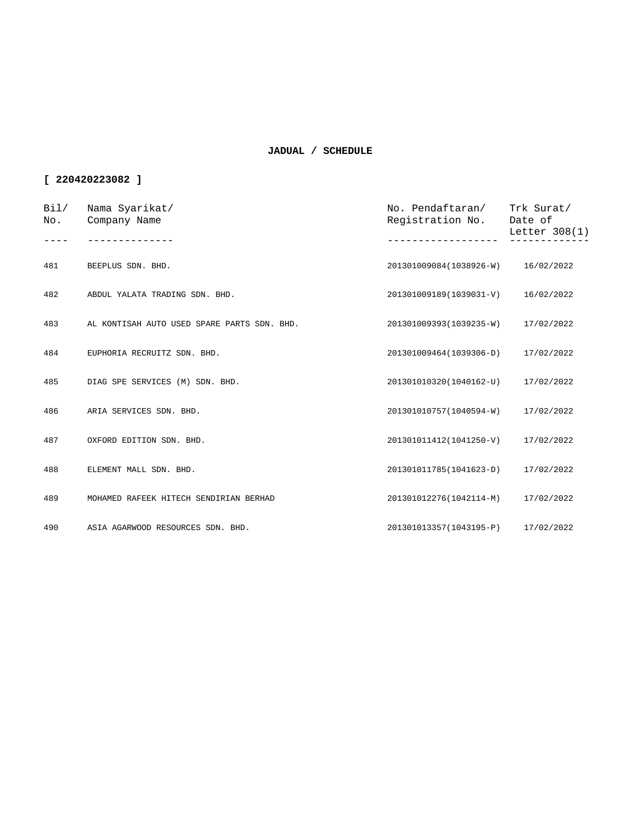| Bi1/<br>No. | Nama Syarikat/<br>Company Name              | No. Pendaftaran/<br>Registration No. Date of | Trk Surat/<br>Letter 308(1) |
|-------------|---------------------------------------------|----------------------------------------------|-----------------------------|
|             |                                             |                                              |                             |
| 481         | BEEPLUS SDN. BHD.                           | 201301009084(1038926-W) 16/02/2022           |                             |
| 482         | ABDUL YALATA TRADING SDN. BHD.              | 201301009189(1039031-V) 16/02/2022           |                             |
| 483         | AL KONTISAH AUTO USED SPARE PARTS SDN. BHD. | 201301009393(1039235-W)                      | 17/02/2022                  |
| 484         | EUPHORIA RECRUITZ SDN. BHD.                 | 201301009464(1039306-D)                      | 17/02/2022                  |
| 485         | DIAG SPE SERVICES (M) SDN. BHD.             | 201301010320(1040162-U) 17/02/2022           |                             |
| 486         | ARIA SERVICES SDN. BHD.                     | 201301010757(1040594-W)                      | 17/02/2022                  |
| 487         | OXFORD EDITION SDN. BHD.                    | 201301011412(1041250-V)                      | 17/02/2022                  |
| 488         | ELEMENT MALL SDN. BHD.                      | 201301011785(1041623-D)                      | 17/02/2022                  |
| 489         | MOHAMED RAFEEK HITECH SENDIRIAN BERHAD      | 201301012276(1042114-M)                      | 17/02/2022                  |
| 490         | ASIA AGARWOOD RESOURCES SDN. BHD.           | 201301013357(1043195-P)                      | 17/02/2022                  |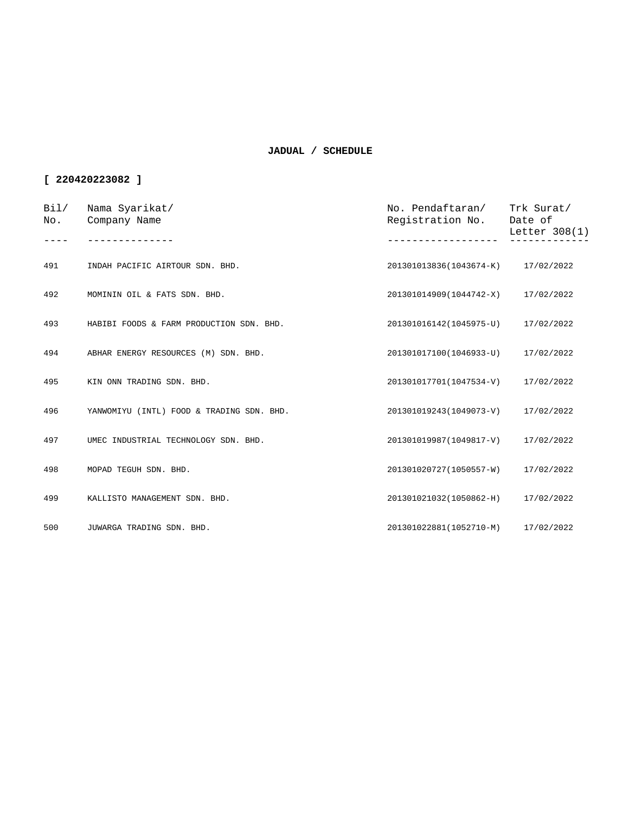| Bil/<br>No. | Nama Syarikat/<br>Company Name            | No. Pendaftaran/<br>Registration No. | Trk Surat/<br>Date of<br>Letter 308(1) |
|-------------|-------------------------------------------|--------------------------------------|----------------------------------------|
|             |                                           |                                      |                                        |
| 491         | INDAH PACIFIC AIRTOUR SDN. BHD.           | 201301013836(1043674-K) 17/02/2022   |                                        |
| 492         | MOMININ OIL & FATS SDN. BHD.              | 201301014909(1044742-X)              | 17/02/2022                             |
| 493         | HABIBI FOODS & FARM PRODUCTION SDN. BHD.  | 201301016142(1045975-U)              | 17/02/2022                             |
| 494         | ABHAR ENERGY RESOURCES (M) SDN. BHD.      | 201301017100(1046933-U)              | 17/02/2022                             |
| 495         | KIN ONN TRADING SDN. BHD.                 | 201301017701(1047534-V) 17/02/2022   |                                        |
| 496         | YANWOMIYU (INTL) FOOD & TRADING SDN. BHD. | 201301019243(1049073-V)              | 17/02/2022                             |
| 497         | UMEC INDUSTRIAL TECHNOLOGY SDN. BHD.      | 201301019987(1049817-V)              | 17/02/2022                             |
| 498         | MOPAD TEGUH SDN. BHD.                     | 201301020727(1050557-W) 17/02/2022   |                                        |
| 499         | KALLISTO MANAGEMENT SDN. BHD.             | 201301021032(1050862-H) 17/02/2022   |                                        |
| 500         | JUWARGA TRADING SDN. BHD.                 | 201301022881(1052710-M)              | 17/02/2022                             |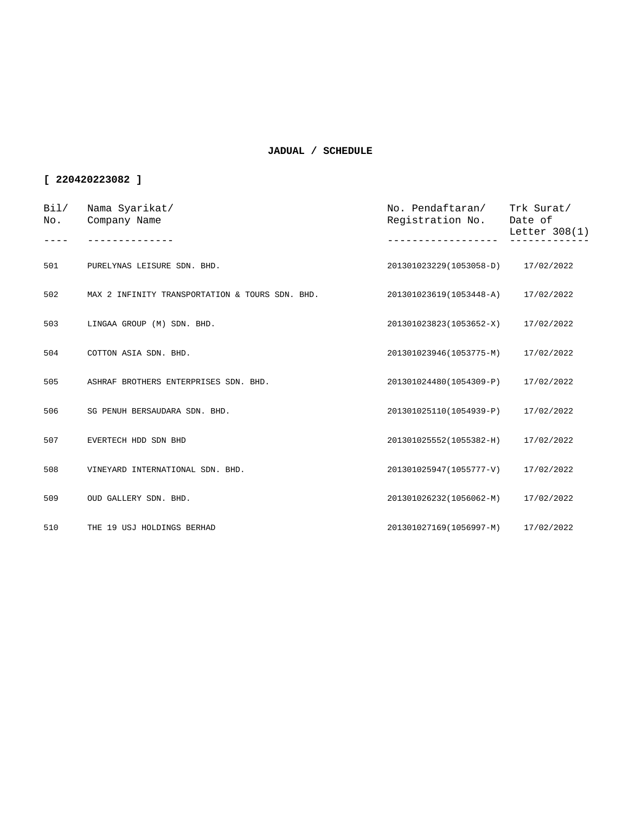| Bi1/<br>No. | Nama Syarikat/<br>Company Name                  | No. Pendaftaran/<br>Registration No. | Trk Surat/<br>Date of<br>Letter 308(1) |
|-------------|-------------------------------------------------|--------------------------------------|----------------------------------------|
|             |                                                 |                                      |                                        |
| 501         | PURELYNAS LEISURE SDN. BHD.                     | 201301023229(1053058-D) 17/02/2022   |                                        |
| 502         | MAX 2 INFINITY TRANSPORTATION & TOURS SDN. BHD. | 201301023619(1053448-A) 17/02/2022   |                                        |
| 503         | LINGAA GROUP (M) SDN. BHD.                      | 201301023823(1053652-X)              | 17/02/2022                             |
| 504         | COTTON ASIA SDN. BHD.                           | 201301023946(1053775-M)              | 17/02/2022                             |
| 505         | ASHRAF BROTHERS ENTERPRISES SDN. BHD.           | 201301024480(1054309-P)              | 17/02/2022                             |
| 506         | SG PENUH BERSAUDARA SDN. BHD.                   | 201301025110(1054939-P)              | 17/02/2022                             |
| 507         | EVERTECH HDD SDN BHD                            | 201301025552(1055382-H)              | 17/02/2022                             |
| 508         | VINEYARD INTERNATIONAL SDN. BHD.                | 201301025947(1055777-V)              | 17/02/2022                             |
| 509         | OUD GALLERY SDN. BHD.                           | 201301026232(1056062-M)              | 17/02/2022                             |
| 510         | THE 19 USJ HOLDINGS BERHAD                      | 201301027169(1056997-M)              | 17/02/2022                             |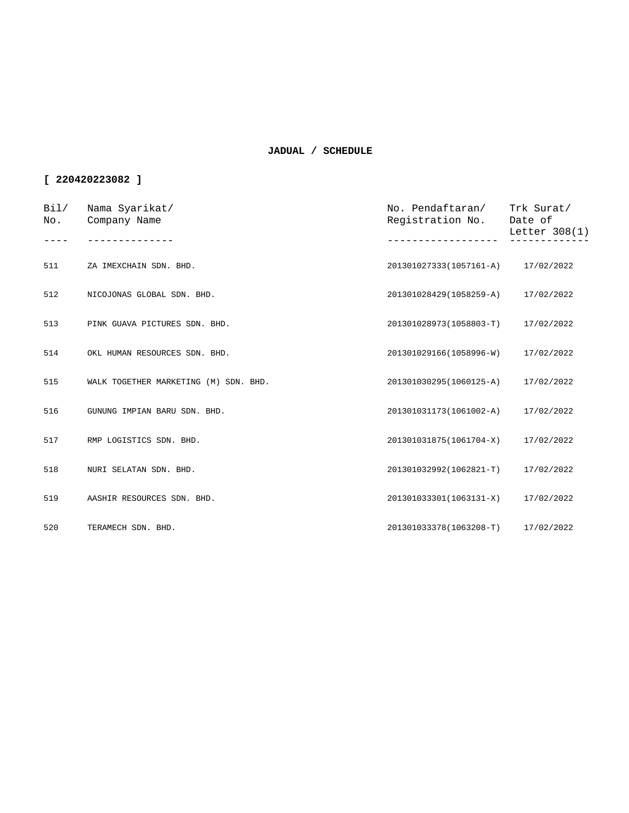| Bi1/<br>No. | Nama Syarikat/<br>Company Name        | No. Pendaftaran/<br>Registration No. | Trk Surat/<br>Date of<br>Letter $308(1)$ |
|-------------|---------------------------------------|--------------------------------------|------------------------------------------|
|             |                                       |                                      |                                          |
| 511         | ZA IMEXCHAIN SDN. BHD.                | 201301027333(1057161-A) 17/02/2022   |                                          |
| 512         | NICOJONAS GLOBAL SDN. BHD.            | 201301028429(1058259-A)              | 17/02/2022                               |
| 513         | PINK GUAVA PICTURES SDN. BHD.         | 201301028973(1058803-T)              | 17/02/2022                               |
| 514         | OKL HUMAN RESOURCES SDN. BHD.         | 201301029166(1058996-W)              | 17/02/2022                               |
| 515         | WALK TOGETHER MARKETING (M) SDN. BHD. | 201301030295(1060125-A)              | 17/02/2022                               |
| 516         | GUNUNG IMPIAN BARU SDN. BHD.          | 201301031173(1061002-A)              | 17/02/2022                               |
| 517         | RMP LOGISTICS SDN. BHD.               | 201301031875(1061704-X)              | 17/02/2022                               |
| 518         | NURI SELATAN SDN. BHD.                | 201301032992(1062821-T)              | 17/02/2022                               |
| 519         | AASHIR RESOURCES SDN. BHD.            | 201301033301(1063131-X)              | 17/02/2022                               |
| 520         | TERAMECH SDN. BHD.                    | 201301033378(1063208-T)              | 17/02/2022                               |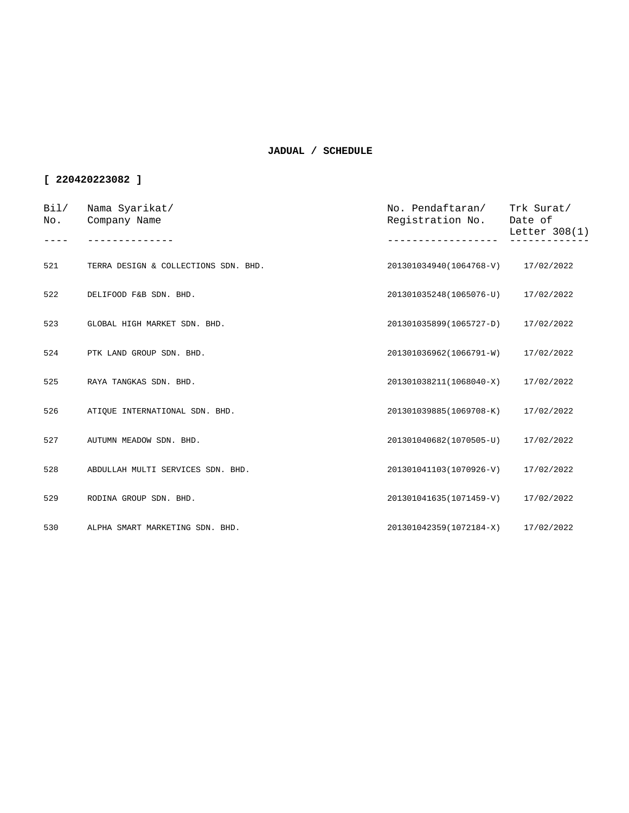| Bil/<br>No. | Nama Syarikat/<br>Company Name       | No. Pendaftaran/<br>Registration No. | Trk Surat/<br>Date of<br>Letter 308(1) |
|-------------|--------------------------------------|--------------------------------------|----------------------------------------|
|             |                                      |                                      |                                        |
| 521         | TERRA DESIGN & COLLECTIONS SDN. BHD. | 201301034940(1064768-V) 17/02/2022   |                                        |
| 522         | DELIFOOD F&B SDN. BHD.               | 201301035248(1065076-U) 17/02/2022   |                                        |
| 523         | GLOBAL HIGH MARKET SDN. BHD.         | 201301035899(1065727-D)              | 17/02/2022                             |
| 524         | PTK LAND GROUP SDN. BHD.             | 201301036962(1066791-W)              | 17/02/2022                             |
| 525         | RAYA TANGKAS SDN. BHD.               | 201301038211(1068040-X)              | 17/02/2022                             |
| 526         | ATIQUE INTERNATIONAL SDN. BHD.       | 201301039885(1069708-K)              | 17/02/2022                             |
| 527         | AUTUMN MEADOW SDN. BHD.              | 201301040682(1070505-U)              | 17/02/2022                             |
| 528         | ABDULLAH MULTI SERVICES SDN. BHD.    | 201301041103(1070926-V) 17/02/2022   |                                        |
| 529         | RODINA GROUP SDN. BHD.               | 201301041635(1071459-V)              | 17/02/2022                             |
| 530         | ALPHA SMART MARKETING SDN. BHD.      | 201301042359(1072184-X)              | 17/02/2022                             |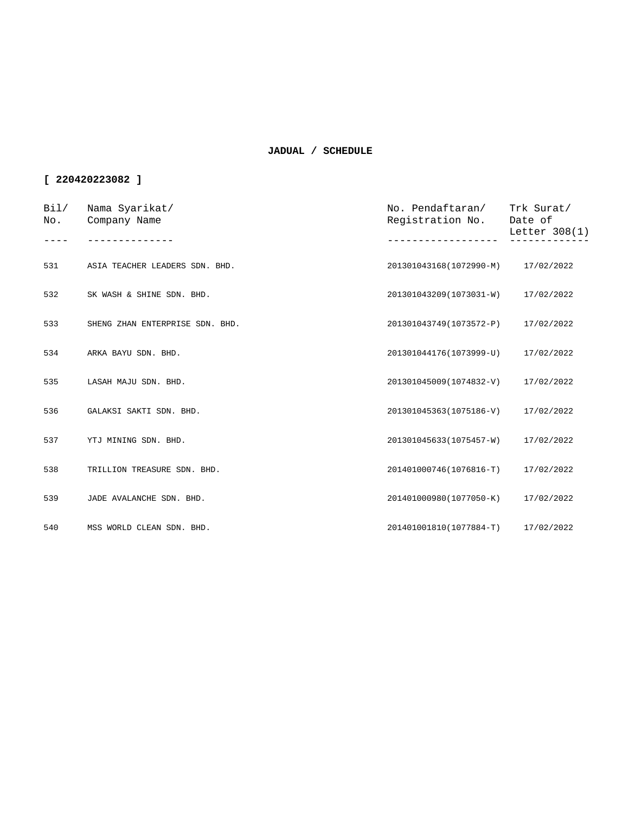| Bi1/<br>No. | Nama Syarikat/<br>Company Name  | No. Pendaftaran/ Trk Surat/<br>Registration No. | Date of<br>Letter 308(1) |
|-------------|---------------------------------|-------------------------------------------------|--------------------------|
|             |                                 |                                                 |                          |
| 531         | ASIA TEACHER LEADERS SDN. BHD.  | 201301043168(1072990-M) 17/02/2022              |                          |
| 532         | SK WASH & SHINE SDN. BHD.       | 201301043209(1073031-W) 17/02/2022              |                          |
| 533         | SHENG ZHAN ENTERPRISE SDN. BHD. | 201301043749(1073572-P)                         | 17/02/2022               |
| 534         | ARKA BAYU SDN. BHD.             | 201301044176(1073999-U)                         | 17/02/2022               |
| 535         | LASAH MAJU SDN. BHD.            | 201301045009(1074832-V) 17/02/2022              |                          |
| 536         | GALAKSI SAKTI SDN. BHD.         | 201301045363(1075186-V)                         | 17/02/2022               |
| 537         | YTJ MINING SDN. BHD.            | 201301045633(1075457-W)                         | 17/02/2022               |
| 538         | TRILLION TREASURE SDN. BHD.     | 201401000746(1076816-T) 17/02/2022              |                          |
| 539         | JADE AVALANCHE SDN. BHD.        | 201401000980(1077050-K)                         | 17/02/2022               |
| 540         | MSS WORLD CLEAN SDN. BHD.       | 201401001810(1077884-T)                         | 17/02/2022               |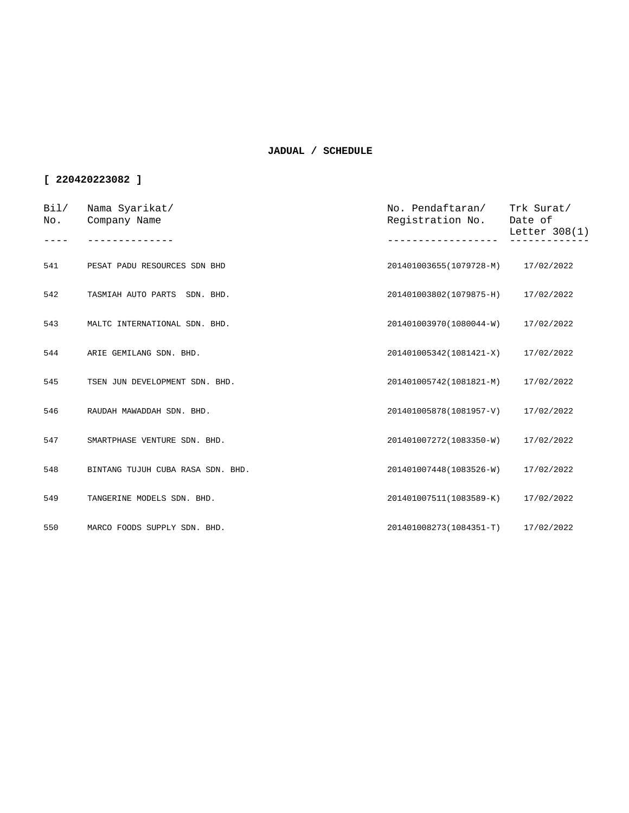| Bi1/<br>No. | Nama Syarikat/<br>Company Name    | No. Pendaftaran/<br>Registration No. | Trk Surat/<br>Date of<br>Letter $308(1)$ |
|-------------|-----------------------------------|--------------------------------------|------------------------------------------|
|             |                                   |                                      |                                          |
| 541         | PESAT PADU RESOURCES SDN BHD      | 201401003655(1079728-M) 17/02/2022   |                                          |
| 542         | TASMIAH AUTO PARTS SDN. BHD.      | 201401003802(1079875-H) 17/02/2022   |                                          |
| 543         | MALTC INTERNATIONAL SDN. BHD.     | 201401003970(1080044-W)              | 17/02/2022                               |
| 544         | ARIE GEMILANG SDN. BHD.           | 201401005342(1081421-X)              | 17/02/2022                               |
| 545         | TSEN JUN DEVELOPMENT SDN. BHD.    | 201401005742(1081821-M)              | 17/02/2022                               |
| 546         | RAUDAH MAWADDAH SDN. BHD.         | 201401005878(1081957-V)              | 17/02/2022                               |
| 547         | SMARTPHASE VENTURE SDN. BHD.      | 201401007272(1083350-W)              | 17/02/2022                               |
| 548         | BINTANG TUJUH CUBA RASA SDN. BHD. | 201401007448(1083526-W)              | 17/02/2022                               |
| 549         | TANGERINE MODELS SDN. BHD.        | 201401007511(1083589-K)              | 17/02/2022                               |
| 550         | MARCO FOODS SUPPLY SDN. BHD.      | 201401008273(1084351-T)              | 17/02/2022                               |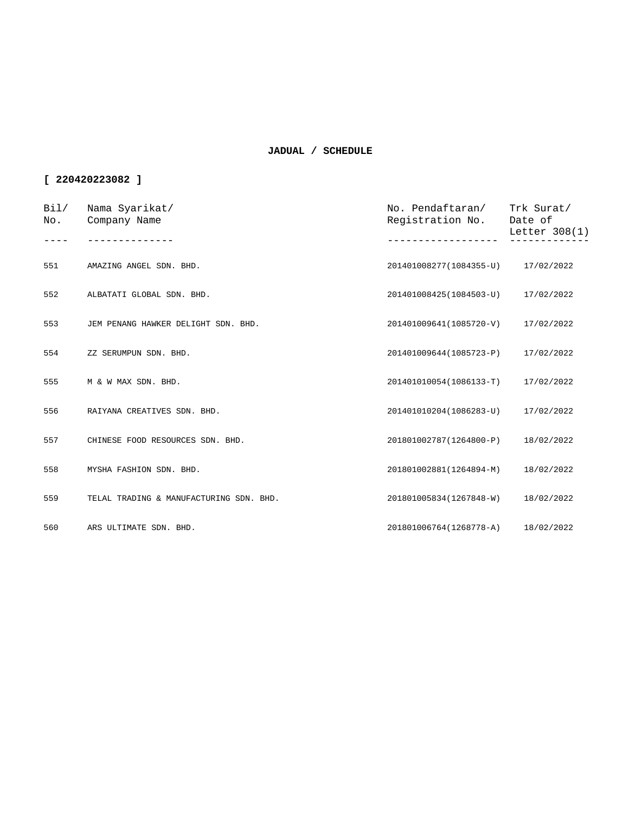| Bil/<br>No. | Nama Syarikat/<br>Company Name          | No. Pendaftaran/<br>Registration No. | Trk Surat/<br>Date of<br>Letter 308(1) |
|-------------|-----------------------------------------|--------------------------------------|----------------------------------------|
| 551         | AMAZING ANGEL SDN. BHD.                 | 201401008277(1084355-U) 17/02/2022   |                                        |
| 552         |                                         |                                      |                                        |
|             | ALBATATI GLOBAL SDN. BHD.               | 201401008425(1084503-U) 17/02/2022   |                                        |
| 553         | JEM PENANG HAWKER DELIGHT SDN. BHD.     | 201401009641(1085720-V)              | 17/02/2022                             |
| 554         | ZZ SERUMPUN SDN. BHD.                   | 201401009644(1085723-P)              | 17/02/2022                             |
| 555         | M & W MAX SDN, BHD.                     | 201401010054(1086133-T) 17/02/2022   |                                        |
| 556         | RAIYANA CREATIVES SDN. BHD.             | 201401010204(1086283-U)              | 17/02/2022                             |
| 557         | CHINESE FOOD RESOURCES SDN. BHD.        | 201801002787(1264800-P)              | 18/02/2022                             |
| 558         | MYSHA FASHION SDN. BHD.                 | 201801002881(1264894-M)              | 18/02/2022                             |
| 559         | TELAL TRADING & MANUFACTURING SDN. BHD. | 201801005834(1267848-W)              | 18/02/2022                             |
| 560         | ARS ULTIMATE SDN. BHD.                  | 201801006764(1268778-A) 18/02/2022   |                                        |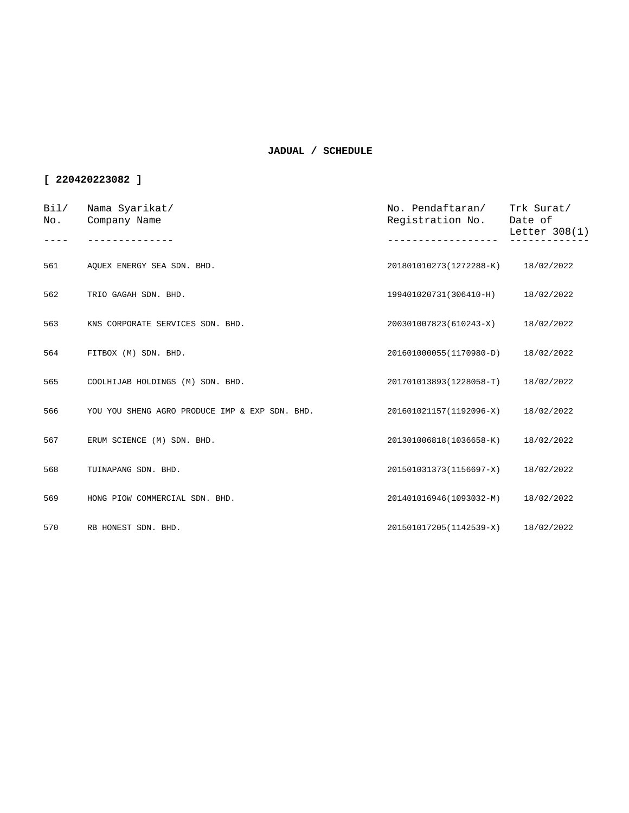| Bil/<br>No. | Nama Syarikat/<br>Company Name                 | No. Pendaftaran/<br>Registration No. | Trk Surat/<br>Date of<br>Letter 308(1) |
|-------------|------------------------------------------------|--------------------------------------|----------------------------------------|
| 561         | AOUEX ENERGY SEA SDN. BHD.                     | 201801010273(1272288-K) 18/02/2022   |                                        |
| 562         | TRIO GAGAH SDN. BHD.                           | 199401020731(306410-H)               | 18/02/2022                             |
| 563         | KNS CORPORATE SERVICES SDN. BHD.               | 200301007823(610243-X)               | 18/02/2022                             |
| 564         | FITBOX (M) SDN. BHD.                           | 201601000055(1170980-D)              | 18/02/2022                             |
| 565         | COOLHIJAB HOLDINGS (M) SDN. BHD.               | 201701013893(1228058-T)              | 18/02/2022                             |
| 566         | YOU YOU SHENG AGRO PRODUCE IMP & EXP SDN. BHD. | 201601021157(1192096-X)              | 18/02/2022                             |
| 567         | ERUM SCIENCE (M) SDN. BHD.                     | 201301006818(1036658-K)              | 18/02/2022                             |
| 568         | TUINAPANG SDN. BHD.                            | 201501031373(1156697-X)              | 18/02/2022                             |
| 569         | HONG PIOW COMMERCIAL SDN. BHD.                 | 201401016946(1093032-M)              | 18/02/2022                             |
| 570         | RB HONEST SDN. BHD.                            | 201501017205(1142539-X) 18/02/2022   |                                        |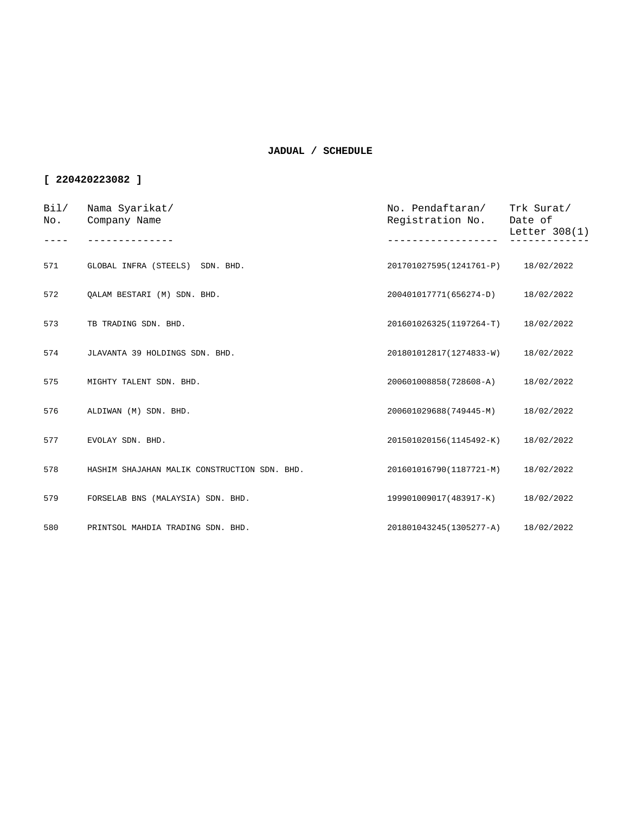| Bi1/<br>No. | Nama Syarikat/<br>Company Name               | No. Pendaftaran/ Trk Surat/<br>Registration No. | Date of<br>Letter 308(1) |
|-------------|----------------------------------------------|-------------------------------------------------|--------------------------|
|             |                                              |                                                 |                          |
| 571         | GLOBAL INFRA (STEELS) SDN. BHD.              | 201701027595(1241761-P) 18/02/2022              |                          |
| 572         | OALAM BESTARI (M) SDN. BHD.                  | 200401017771(656274-D)                          | 18/02/2022               |
| 573         | TB TRADING SDN. BHD.                         | 201601026325(1197264-T)                         | 18/02/2022               |
| 574         | JLAVANTA 39 HOLDINGS SDN. BHD.               | 201801012817(1274833-W)                         | 18/02/2022               |
| 575         | MIGHTY TALENT SDN. BHD.                      | 200601008858(728608-A)                          | 18/02/2022               |
| 576         | ALDIWAN (M) SDN. BHD.                        | 200601029688(749445-M)                          | 18/02/2022               |
| 577         | EVOLAY SDN. BHD.                             | 201501020156(1145492-K)                         | 18/02/2022               |
| 578         | HASHIM SHAJAHAN MALIK CONSTRUCTION SDN. BHD. | 201601016790(1187721-M)                         | 18/02/2022               |
| 579         | FORSELAB BNS (MALAYSIA) SDN. BHD.            | 199901009017(483917-K)                          | 18/02/2022               |
| 580         | PRINTSOL MAHDIA TRADING SDN. BHD.            | 201801043245(1305277-A)                         | 18/02/2022               |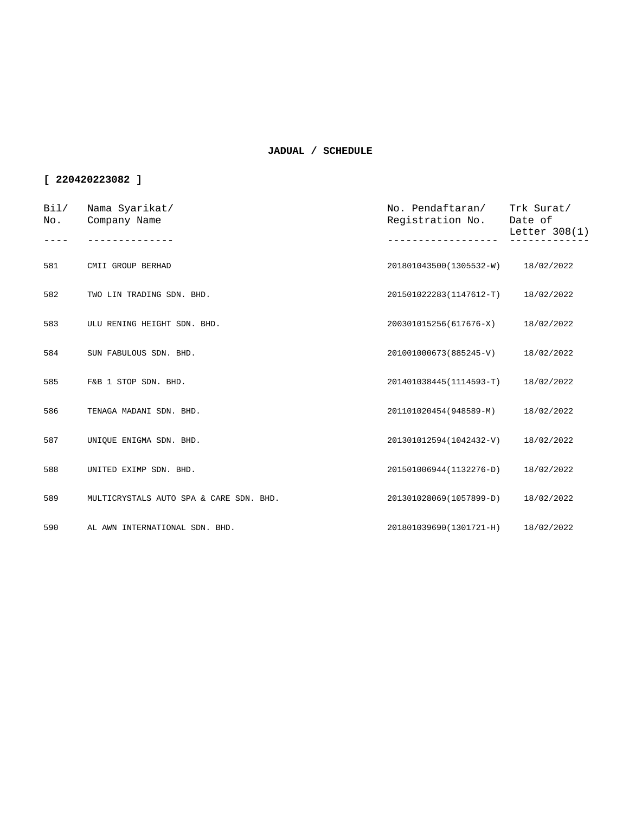| Bi1/<br>No. | Nama Syarikat/<br>Company Name          | No. Pendaftaran/<br>Registration No. | Trk Surat/<br>Date of<br>Letter 308(1) |
|-------------|-----------------------------------------|--------------------------------------|----------------------------------------|
| 581         | CMII GROUP BERHAD                       | 201801043500(1305532-W)              | 18/02/2022                             |
| 582         | TWO LIN TRADING SDN. BHD.               | 201501022283(1147612-T)              | 18/02/2022                             |
| 583         | ULU RENING HEIGHT SDN. BHD.             | 200301015256(617676-X)               | 18/02/2022                             |
| 584         | SUN FABULOUS SDN. BHD.                  | 201001000673(885245-V)               | 18/02/2022                             |
| 585         | F&B 1 STOP SDN. BHD.                    | 201401038445(1114593-T)              | 18/02/2022                             |
| 586         | TENAGA MADANI SDN. BHD.                 | 201101020454(948589-M)               | 18/02/2022                             |
| 587         | UNIQUE ENIGMA SDN. BHD.                 | 201301012594(1042432-V)              | 18/02/2022                             |
| 588         | UNITED EXIMP SDN. BHD.                  | 201501006944(1132276-D)              | 18/02/2022                             |
| 589         | MULTICRYSTALS AUTO SPA & CARE SDN. BHD. | 201301028069(1057899-D)              | 18/02/2022                             |
| 590         | AL AWN INTERNATIONAL SDN. BHD.          | 201801039690(1301721-H)              | 18/02/2022                             |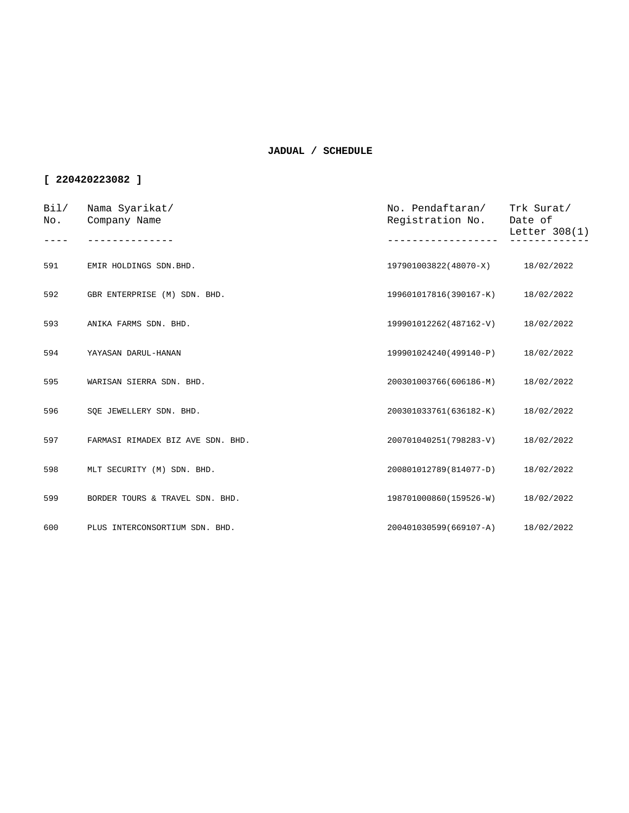| Bi1/<br>No. | Nama Syarikat/<br>Company Name    | No. Pendaftaran/<br>Registration No. | Trk Surat/<br>Date of<br>Letter $308(1)$ |
|-------------|-----------------------------------|--------------------------------------|------------------------------------------|
|             |                                   |                                      |                                          |
| 591         | EMIR HOLDINGS SDN.BHD.            | 197901003822(48070-X)                | 18/02/2022                               |
| 592         | GBR ENTERPRISE (M) SDN. BHD.      | 199601017816(390167-K)               | 18/02/2022                               |
| 593         | ANIKA FARMS SDN. BHD.             | 199901012262(487162-V)               | 18/02/2022                               |
| 594         | YAYASAN DARUL-HANAN               | 199901024240(499140-P)               | 18/02/2022                               |
| 595         | WARISAN SIERRA SDN. BHD.          | 200301003766(606186-M)               | 18/02/2022                               |
| 596         | SOE JEWELLERY SDN. BHD.           | 200301033761(636182-K)               | 18/02/2022                               |
| 597         | FARMASI RIMADEX BIZ AVE SDN. BHD. | 200701040251(798283-V)               | 18/02/2022                               |
| 598         | MLT SECURITY (M) SDN. BHD.        | 200801012789(814077-D)               | 18/02/2022                               |
| 599         | BORDER TOURS & TRAVEL SDN. BHD.   | 198701000860(159526-W)               | 18/02/2022                               |
| 600         | PLUS INTERCONSORTIUM SDN. BHD.    | 200401030599(669107-A)               | 18/02/2022                               |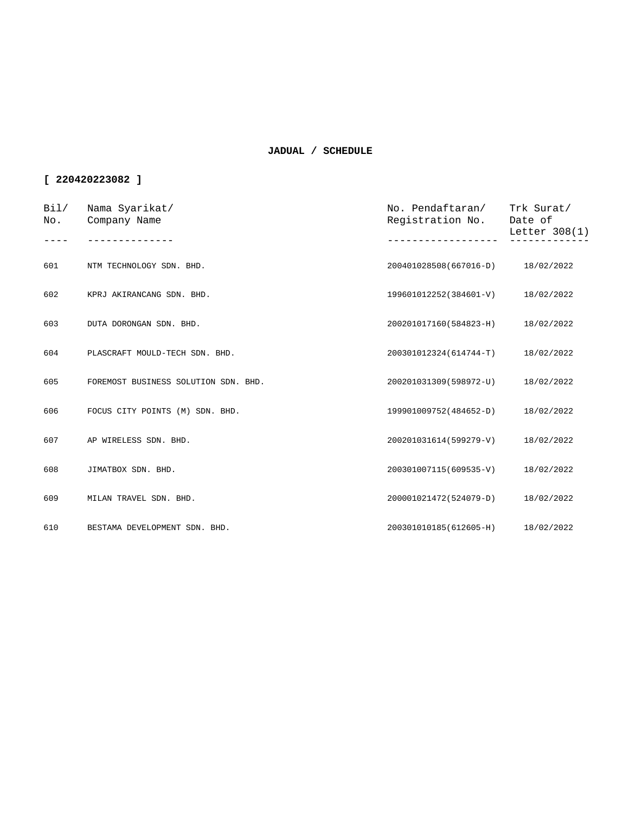| Bi1/<br>No. | Nama Syarikat/<br>Company Name       | No. Pendaftaran/<br>Registration No. | Trk Surat/<br>Date of<br>Letter $308(1)$ |
|-------------|--------------------------------------|--------------------------------------|------------------------------------------|
|             |                                      |                                      |                                          |
| 601         | NTM TECHNOLOGY SDN. BHD.             | 200401028508(667016-D)               | 18/02/2022                               |
| 602         | KPRJ AKIRANCANG SDN. BHD.            | 199601012252(384601-V)               | 18/02/2022                               |
| 603         | DUTA DORONGAN SDN. BHD.              | 200201017160(584823-H)               | 18/02/2022                               |
| 604         | PLASCRAFT MOULD-TECH SDN. BHD.       | 200301012324(614744-T)               | 18/02/2022                               |
| 605         | FOREMOST BUSINESS SOLUTION SDN. BHD. | 200201031309(598972-U)               | 18/02/2022                               |
| 606         | FOCUS CITY POINTS (M) SDN. BHD.      | 199901009752(484652-D)               | 18/02/2022                               |
| 607         | AP WIRELESS SDN. BHD.                | 200201031614(599279-V)               | 18/02/2022                               |
| 608         | JIMATBOX SDN. BHD.                   | 200301007115(609535-V)               | 18/02/2022                               |
| 609         | MILAN TRAVEL SDN. BHD.               | 200001021472(524079-D)               | 18/02/2022                               |
| 610         | BESTAMA DEVELOPMENT SDN. BHD.        | 200301010185(612605-H)               | 18/02/2022                               |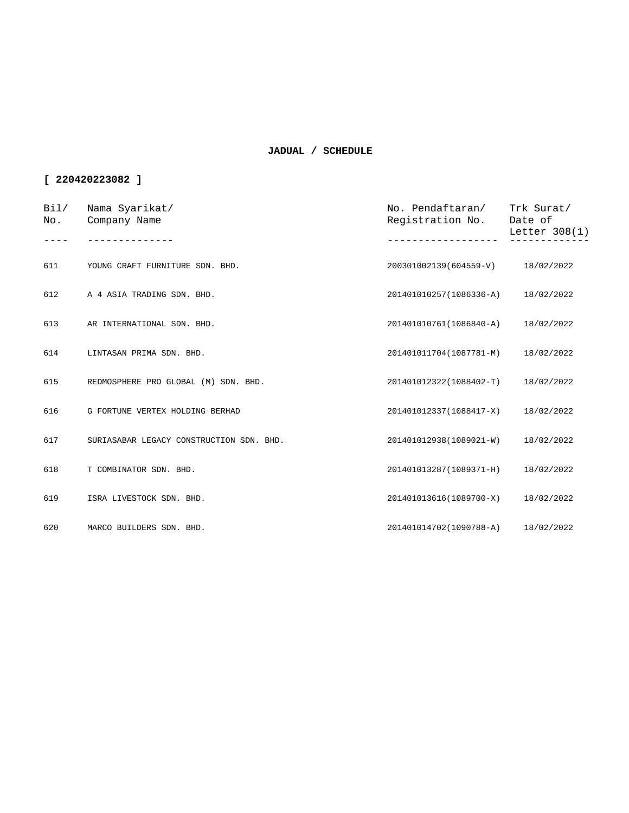| Bi1/<br>No. | Nama Syarikat/<br>Company Name           | No. Pendaftaran/<br>Registration No. | Trk Surat/<br>Date of<br>Letter $308(1)$ |
|-------------|------------------------------------------|--------------------------------------|------------------------------------------|
|             |                                          |                                      |                                          |
| 611         | YOUNG CRAFT FURNITURE SDN. BHD.          | 200301002139(604559-V)               | 18/02/2022                               |
| 612         | A 4 ASIA TRADING SDN. BHD.               | 201401010257(1086336-A)              | 18/02/2022                               |
| 613         | AR INTERNATIONAL SDN. BHD.               | 201401010761(1086840-A)              | 18/02/2022                               |
| 614         | LINTASAN PRIMA SDN. BHD.                 | 201401011704(1087781-M)              | 18/02/2022                               |
| 615         | REDMOSPHERE PRO GLOBAL (M) SDN. BHD.     | 201401012322(1088402-T)              | 18/02/2022                               |
| 616         | G FORTUNE VERTEX HOLDING BERHAD          | 201401012337(1088417-X)              | 18/02/2022                               |
| 617         | SURIASABAR LEGACY CONSTRUCTION SDN. BHD. | 201401012938(1089021-W)              | 18/02/2022                               |
| 618         | T COMBINATOR SDN. BHD.                   | 201401013287(1089371-H)              | 18/02/2022                               |
| 619         | ISRA LIVESTOCK SDN. BHD.                 | 201401013616(1089700-X)              | 18/02/2022                               |
| 620         | MARCO BUILDERS SDN. BHD.                 | 201401014702(1090788-A) 18/02/2022   |                                          |